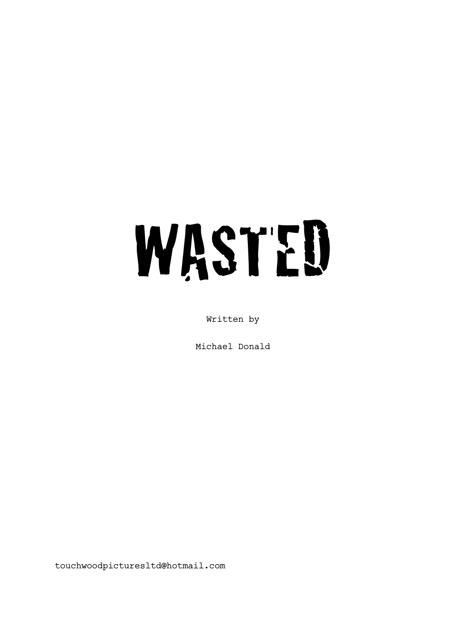# WASTED

Written by

Michael Donald

touchwoodpicturesltd@hotmail.com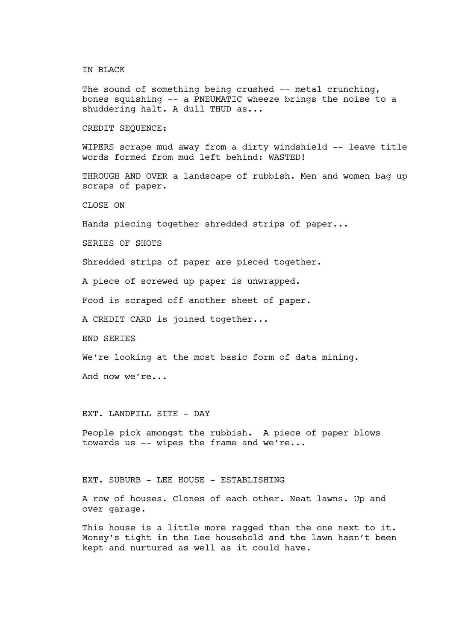#### IN BLACK

The sound of something being crushed -- metal crunching, bones squishing -- a PNEUMATIC wheeze brings the noise to a shuddering halt. A dull THUD as...

CREDIT SEQUENCE:

WIPERS scrape mud away from a dirty windshield -- leave title words formed from mud left behind: WASTED!

THROUGH AND OVER a landscape of rubbish. Men and women bag up scraps of paper.

CLOSE ON

Hands piecing together shredded strips of paper...

SERIES OF SHOTS

Shredded strips of paper are pieced together.

A piece of screwed up paper is unwrapped.

Food is scraped off another sheet of paper.

A CREDIT CARD is joined together...

END SERIES

We're looking at the most basic form of data mining.

And now we're...

EXT. LANDFILL SITE - DAY

People pick amongst the rubbish. A piece of paper blows towards us -- wipes the frame and we're...

EXT. SUBURB - LEE HOUSE - ESTABLISHING

A row of houses. Clones of each other. Neat lawns. Up and over garage.

This house is a little more ragged than the one next to it. Money's tight in the Lee household and the lawn hasn't been kept and nurtured as well as it could have.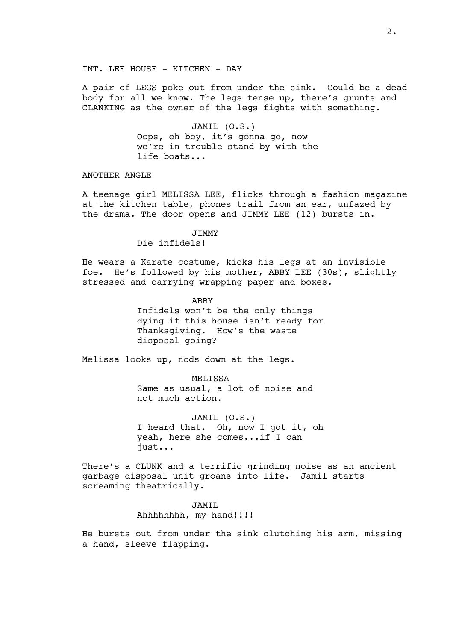INT. LEE HOUSE - KITCHEN - DAY

A pair of LEGS poke out from under the sink. Could be a dead body for all we know. The legs tense up, there's grunts and CLANKING as the owner of the legs fights with something.

> JAMIL (O.S.) Oops, oh boy, it's gonna go, now we're in trouble stand by with the life boats...

ANOTHER ANGLE

A teenage girl MELISSA LEE, flicks through a fashion magazine at the kitchen table, phones trail from an ear, unfazed by the drama. The door opens and JIMMY LEE (12) bursts in.

## JIMMY

Die infidels!

He wears a Karate costume, kicks his legs at an invisible foe. He's followed by his mother, ABBY LEE (30s), slightly stressed and carrying wrapping paper and boxes.

> ABBY Infidels won't be the only things dying if this house isn't ready for Thanksgiving. How's the waste disposal going?

Melissa looks up, nods down at the legs.

MELISSA Same as usual, a lot of noise and not much action.

JAMIL (O.S.) I heard that. Oh, now I got it, oh yeah, here she comes...if I can just...

There's a CLUNK and a terrific grinding noise as an ancient garbage disposal unit groans into life. Jamil starts screaming theatrically.

> JAMIL Ahhhhhhhh, my hand!!!!

He bursts out from under the sink clutching his arm, missing a hand, sleeve flapping.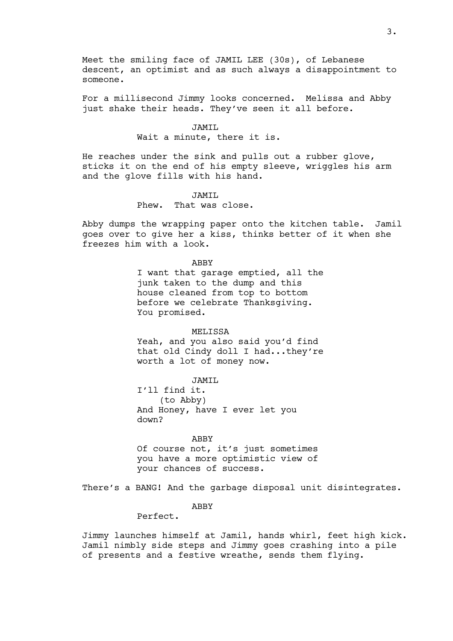Meet the smiling face of JAMIL LEE (30s), of Lebanese descent, an optimist and as such always a disappointment to someone.

For a millisecond Jimmy looks concerned. Melissa and Abby just shake their heads. They've seen it all before.

#### JAMIL

Wait a minute, there it is.

He reaches under the sink and pulls out a rubber glove, sticks it on the end of his empty sleeve, wriggles his arm and the glove fills with his hand.

# JAMIL

Phew. That was close.

Abby dumps the wrapping paper onto the kitchen table. Jamil goes over to give her a kiss, thinks better of it when she freezes him with a look.

#### ABBY

I want that garage emptied, all the junk taken to the dump and this house cleaned from top to bottom before we celebrate Thanksgiving. You promised.

#### **MELISSA**

Yeah, and you also said you'd find that old Cindy doll I had...they're worth a lot of money now.

JAMTT.

I'll find it. (to Abby) And Honey, have I ever let you down?

#### ABBY

Of course not, it's just sometimes you have a more optimistic view of your chances of success.

There's a BANG! And the garbage disposal unit disintegrates.

## ABBY

Perfect.

Jimmy launches himself at Jamil, hands whirl, feet high kick. Jamil nimbly side steps and Jimmy goes crashing into a pile of presents and a festive wreathe, sends them flying.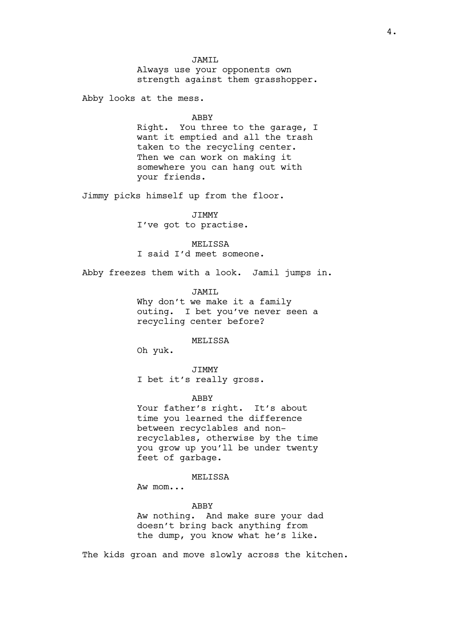# JAMIL

Always use your opponents own strength against them grasshopper.

Abby looks at the mess.

#### ABBY

Right. You three to the garage, I want it emptied and all the trash taken to the recycling center. Then we can work on making it somewhere you can hang out with your friends.

Jimmy picks himself up from the floor.

JIMMY I've got to practise.

MELISSA I said I'd meet someone.

Abby freezes them with a look. Jamil jumps in.

JAMIL

Why don't we make it a family outing. I bet you've never seen a recycling center before?

MELISSA

Oh yuk.

JIMMY I bet it's really gross.

#### ABBY

Your father's right. It's about time you learned the difference between recyclables and nonrecyclables, otherwise by the time you grow up you'll be under twenty feet of garbage.

## MELISSA

Aw mom...

#### ABBY

Aw nothing. And make sure your dad doesn't bring back anything from the dump, you know what he's like.

The kids groan and move slowly across the kitchen.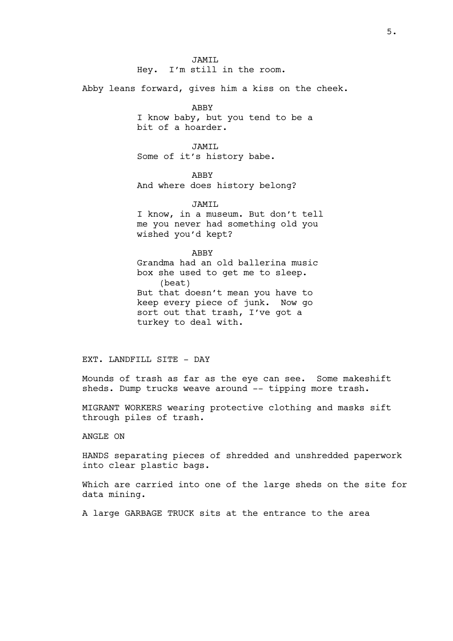JAMIL Hey. I'm still in the room.

Abby leans forward, gives him a kiss on the cheek.

ABBY

I know baby, but you tend to be a bit of a hoarder.

JAMTT. Some of it's history babe.

ABBY And where does history belong?

JAMIL I know, in a museum. But don't tell me you never had something old you wished you'd kept?

ABBY Grandma had an old ballerina music box she used to get me to sleep. (beat) But that doesn't mean you have to keep every piece of junk. Now go sort out that trash, I've got a turkey to deal with.

EXT. LANDFILL SITE - DAY

Mounds of trash as far as the eye can see. Some makeshift sheds. Dump trucks weave around -- tipping more trash.

MIGRANT WORKERS wearing protective clothing and masks sift through piles of trash.

# ANGLE ON

HANDS separating pieces of shredded and unshredded paperwork into clear plastic bags.

Which are carried into one of the large sheds on the site for data mining.

A large GARBAGE TRUCK sits at the entrance to the area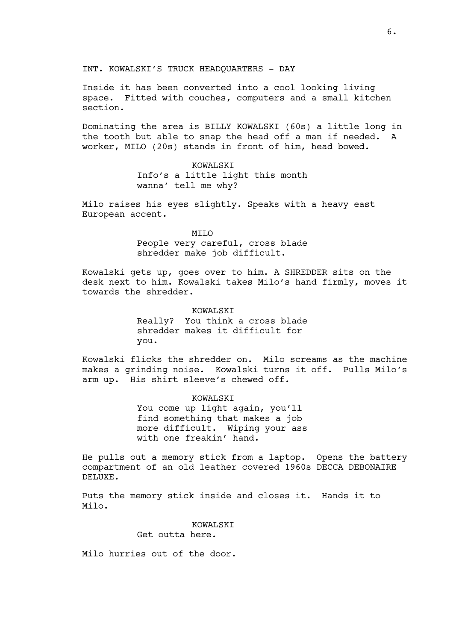INT. KOWALSKI'S TRUCK HEADQUARTERS - DAY

Inside it has been converted into a cool looking living space. Fitted with couches, computers and a small kitchen section.

Dominating the area is BILLY KOWALSKI (60s) a little long in the tooth but able to snap the head off a man if needed. A worker, MILO (20s) stands in front of him, head bowed.

> KOWALSKI Info's a little light this month wanna' tell me why?

Milo raises his eyes slightly. Speaks with a heavy east European accent.

> MILO People very careful, cross blade shredder make job difficult.

Kowalski gets up, goes over to him. A SHREDDER sits on the desk next to him. Kowalski takes Milo's hand firmly, moves it towards the shredder.

# KOWALSKI

Really? You think a cross blade shredder makes it difficult for you.

Kowalski flicks the shredder on. Milo screams as the machine makes a grinding noise. Kowalski turns it off. Pulls Milo's arm up. His shirt sleeve's chewed off.

KOWALSKI

You come up light again, you'll find something that makes a job more difficult. Wiping your ass with one freakin' hand.

He pulls out a memory stick from a laptop. Opens the battery compartment of an old leather covered 1960s DECCA DEBONAIRE DELUXE.

Puts the memory stick inside and closes it. Hands it to Milo.

KOWALSKT

Get outta here.

Milo hurries out of the door.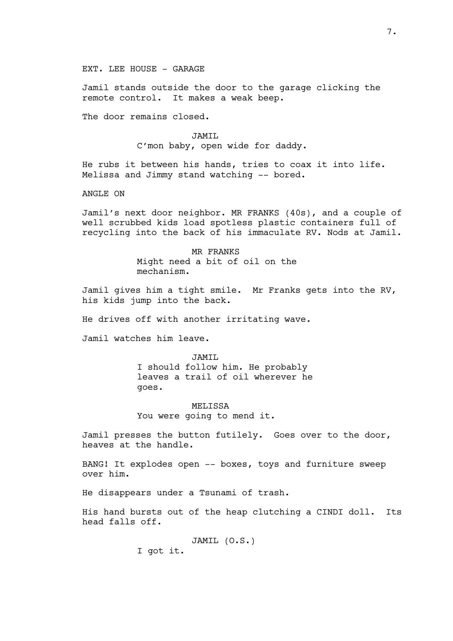EXT. LEE HOUSE - GARAGE

Jamil stands outside the door to the garage clicking the remote control. It makes a weak beep.

The door remains closed.

JAMIL C'mon baby, open wide for daddy.

He rubs it between his hands, tries to coax it into life. Melissa and Jimmy stand watching -- bored.

ANGLE ON

Jamil's next door neighbor. MR FRANKS (40s), and a couple of well scrubbed kids load spotless plastic containers full of recycling into the back of his immaculate RV. Nods at Jamil.

> MR FRANKS Might need a bit of oil on the mechanism.

Jamil gives him a tight smile. Mr Franks gets into the RV, his kids jump into the back.

He drives off with another irritating wave.

Jamil watches him leave.

JAMTT. I should follow him. He probably leaves a trail of oil wherever he goes.

MELISSA You were going to mend it.

Jamil presses the button futilely. Goes over to the door, heaves at the handle.

BANG! It explodes open -- boxes, toys and furniture sweep over him.

He disappears under a Tsunami of trash.

His hand bursts out of the heap clutching a CINDI doll. Its head falls off.

> JAMIL (O.S.) I got it.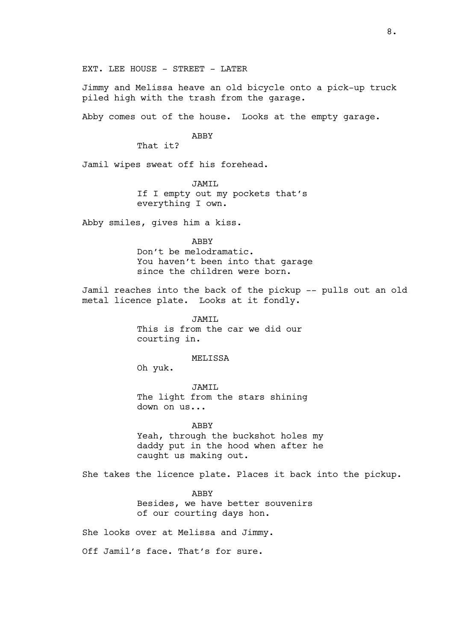EXT. LEE HOUSE - STREET - LATER

Jimmy and Melissa heave an old bicycle onto a pick-up truck piled high with the trash from the garage.

Abby comes out of the house. Looks at the empty garage.

#### ABBY

That it?

Jamil wipes sweat off his forehead.

JAMIL

If I empty out my pockets that's everything I own.

Abby smiles, gives him a kiss.

ABBY

Don't be melodramatic. You haven't been into that garage since the children were born.

Jamil reaches into the back of the pickup -- pulls out an old metal licence plate. Looks at it fondly.

> JAMTT. This is from the car we did our courting in.

> > MELISSA

Oh yuk.

JAMIL The light from the stars shining down on us...

ABBY

Yeah, through the buckshot holes my daddy put in the hood when after he caught us making out.

She takes the licence plate. Places it back into the pickup.

ABBY

Besides, we have better souvenirs of our courting days hon.

She looks over at Melissa and Jimmy.

Off Jamil's face. That's for sure.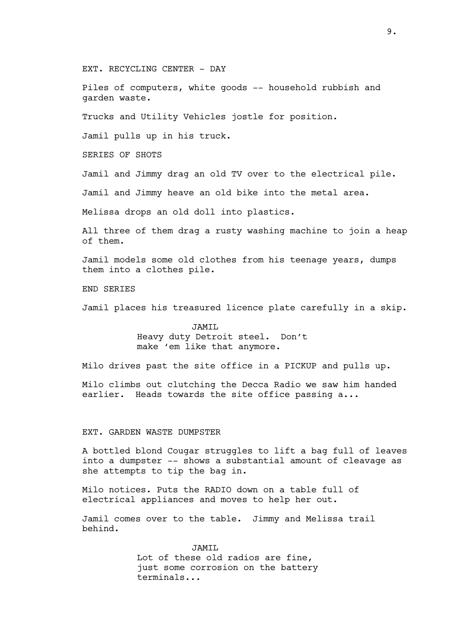EXT. RECYCLING CENTER - DAY

Piles of computers, white goods -- household rubbish and garden waste.

Trucks and Utility Vehicles jostle for position.

Jamil pulls up in his truck.

SERIES OF SHOTS

Jamil and Jimmy drag an old TV over to the electrical pile.

Jamil and Jimmy heave an old bike into the metal area.

Melissa drops an old doll into plastics.

All three of them drag a rusty washing machine to join a heap of them.

Jamil models some old clothes from his teenage years, dumps them into a clothes pile.

END SERIES

Jamil places his treasured licence plate carefully in a skip.

JAMIL Heavy duty Detroit steel. Don't make 'em like that anymore.

Milo drives past the site office in a PICKUP and pulls up.

Milo climbs out clutching the Decca Radio we saw him handed earlier. Heads towards the site office passing a...

#### EXT. GARDEN WASTE DUMPSTER

A bottled blond Cougar struggles to lift a bag full of leaves into a dumpster -- shows a substantial amount of cleavage as she attempts to tip the bag in.

Milo notices. Puts the RADIO down on a table full of electrical appliances and moves to help her out.

Jamil comes over to the table. Jimmy and Melissa trail behind.

> TAMTT. Lot of these old radios are fine, just some corrosion on the battery terminals...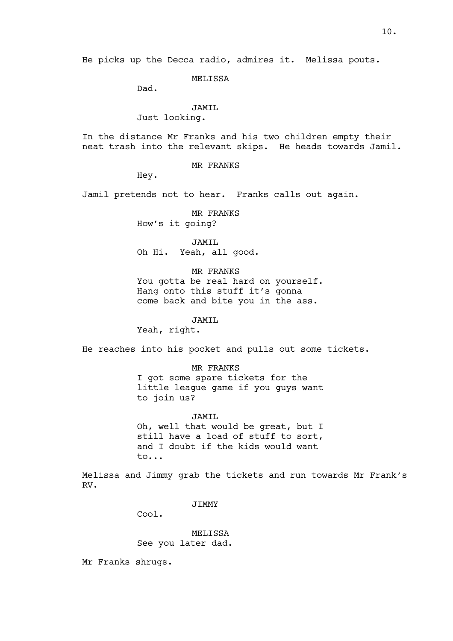He picks up the Decca radio, admires it. Melissa pouts.

MELISSA

Dad.

JAMIL

Just looking.

In the distance Mr Franks and his two children empty their neat trash into the relevant skips. He heads towards Jamil.

MR FRANKS

Hey.

Jamil pretends not to hear. Franks calls out again.

MR FRANKS How's it going?

JAMTT. Oh Hi. Yeah, all good.

MR FRANKS You gotta be real hard on yourself. Hang onto this stuff it's gonna come back and bite you in the ass.

JAMIL

Yeah, right.

He reaches into his pocket and pulls out some tickets.

MR FRANKS I got some spare tickets for the little league game if you guys want to join us?

JAMIL Oh, well that would be great, but I still have a load of stuff to sort, and I doubt if the kids would want to...

Melissa and Jimmy grab the tickets and run towards Mr Frank's RV.

JIMMY

Cool.

MELISSA See you later dad.

Mr Franks shrugs.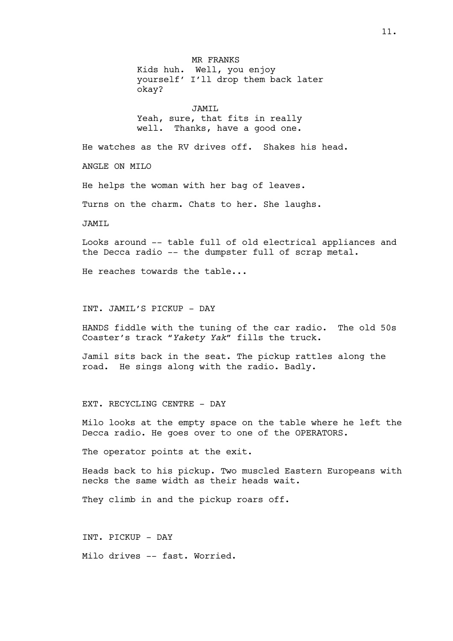MR FRANKS Kids huh. Well, you enjoy yourself' I'll drop them back later okay? JAMIL Yeah, sure, that fits in really well. Thanks, have a good one. He watches as the RV drives off. Shakes his head. ANGLE ON MILO He helps the woman with her bag of leaves. Turns on the charm. Chats to her. She laughs. JAMTI. Looks around -- table full of old electrical appliances and the Decca radio -- the dumpster full of scrap metal. He reaches towards the table... INT. JAMIL'S PICKUP - DAY HANDS fiddle with the tuning of the car radio. The old 50s Coaster's track *"Yakety Yak"* fills the truck. Jamil sits back in the seat. The pickup rattles along the road. He sings along with the radio. Badly. EXT. RECYCLING CENTRE - DAY

Milo looks at the empty space on the table where he left the Decca radio. He goes over to one of the OPERATORS.

The operator points at the exit.

Heads back to his pickup. Two muscled Eastern Europeans with necks the same width as their heads wait.

They climb in and the pickup roars off.

INT. PICKUP - DAY

Milo drives -- fast. Worried.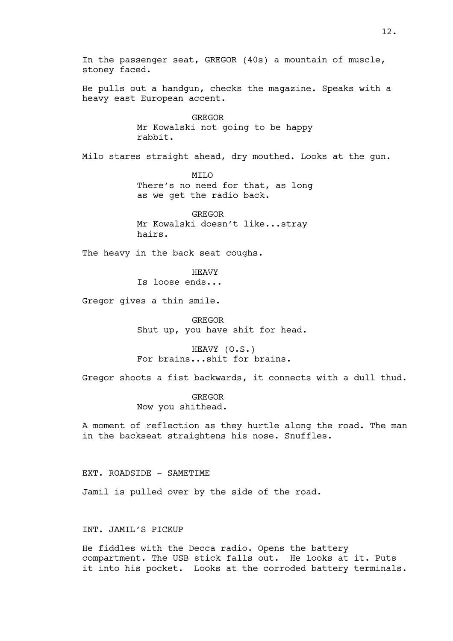In the passenger seat, GREGOR (40s) a mountain of muscle, stoney faced. He pulls out a handgun, checks the magazine. Speaks with a heavy east European accent. GREGOR Mr Kowalski not going to be happy rabbit. Milo stares straight ahead, dry mouthed. Looks at the gun. MILO There's no need for that, as long as we get the radio back. GREGOR Mr Kowalski doesn't like...stray hairs. The heavy in the back seat coughs. HEAVY Is loose ends... Gregor gives a thin smile. GREGOR Shut up, you have shit for head. HEAVY (O.S.) For brains...shit for brains. Gregor shoots a fist backwards, it connects with a dull thud. GREGOR Now you shithead. A moment of reflection as they hurtle along the road. The man in the backseat straightens his nose. Snuffles. EXT. ROADSIDE - SAMETIME Jamil is pulled over by the side of the road. INT. JAMIL'S PICKUP He fiddles with the Decca radio. Opens the battery compartment. The USB stick falls out. He looks at it. Puts

it into his pocket. Looks at the corroded battery terminals.

12.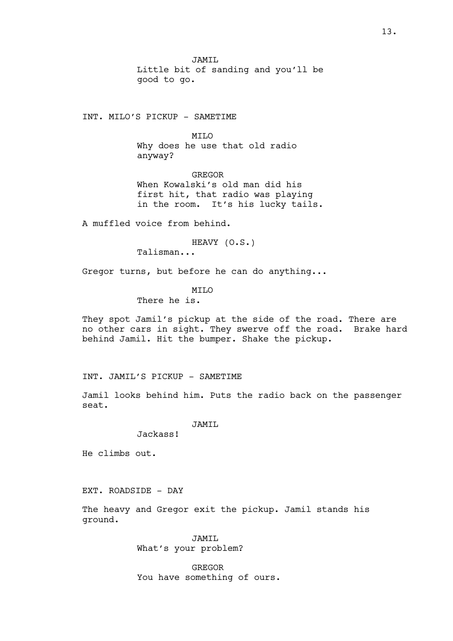JAMIL Little bit of sanding and you'll be good to go.

INT. MILO'S PICKUP - SAMETIME

MILO Why does he use that old radio anyway?

GREGOR When Kowalski's old man did his first hit, that radio was playing in the room. It's his lucky tails.

A muffled voice from behind.

HEAVY (O.S.)

Talisman...

Gregor turns, but before he can do anything...

**MTTO** 

There he is.

They spot Jamil's pickup at the side of the road. There are no other cars in sight. They swerve off the road. Brake hard behind Jamil. Hit the bumper. Shake the pickup.

INT. JAMIL'S PICKUP - SAMETIME

Jamil looks behind him. Puts the radio back on the passenger seat.

JAMIL

Jackass!

He climbs out.

EXT. ROADSIDE - DAY

The heavy and Gregor exit the pickup. Jamil stands his ground.

> JAMTT. What's your problem?

GREGOR You have something of ours.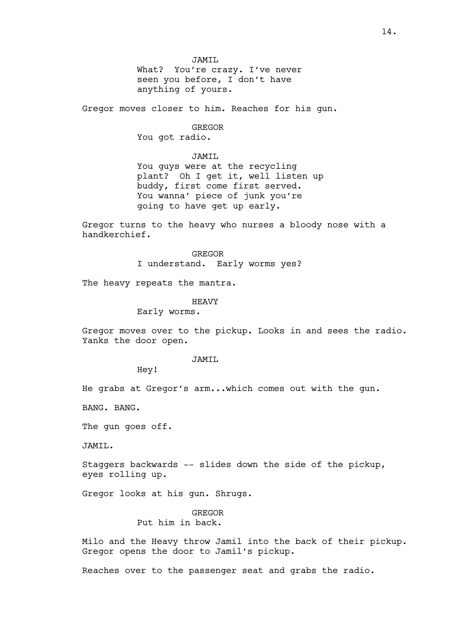JAMIL What? You're crazy. I've never seen you before, I don't have anything of yours.

Gregor moves closer to him. Reaches for his gun.

#### GREGOR

You got radio.

#### JAMIL

You guys were at the recycling plant? Oh I get it, well listen up buddy, first come first served. You wanna' piece of junk you're going to have get up early.

Gregor turns to the heavy who nurses a bloody nose with a handkerchief.

> GREGOR I understand. Early worms yes?

The heavy repeats the mantra.

# HEAVY

Early worms.

Gregor moves over to the pickup. Looks in and sees the radio. Yanks the door open.

# JAMTT.

Hey!

He grabs at Gregor's arm...which comes out with the gun.

BANG. BANG.

The gun goes off.

JAMIL.

Staggers backwards -- slides down the side of the pickup, eyes rolling up.

Gregor looks at his gun. Shrugs.

# GREGOR Put him in back.

Milo and the Heavy throw Jamil into the back of their pickup. Gregor opens the door to Jamil's pickup.

Reaches over to the passenger seat and grabs the radio.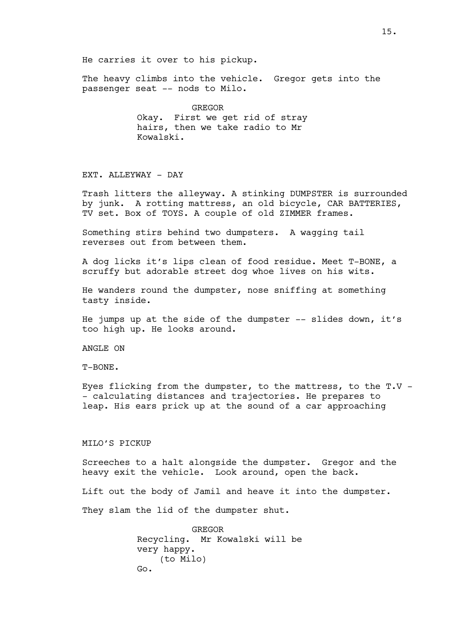He carries it over to his pickup.

The heavy climbs into the vehicle. Gregor gets into the passenger seat -- nods to Milo.

> GREGOR Okay. First we get rid of stray hairs, then we take radio to Mr Kowalski.

## EXT. ALLEYWAY - DAY

Trash litters the alleyway. A stinking DUMPSTER is surrounded by junk. A rotting mattress, an old bicycle, CAR BATTERIES, TV set. Box of TOYS. A couple of old ZIMMER frames.

Something stirs behind two dumpsters. A wagging tail reverses out from between them.

A dog licks it's lips clean of food residue. Meet T-BONE, a scruffy but adorable street dog whoe lives on his wits.

He wanders round the dumpster, nose sniffing at something tasty inside.

He jumps up at the side of the dumpster -- slides down, it's too high up. He looks around.

ANGLE ON

T-BONE.

Eyes flicking from the dumpster, to the mattress, to the T.V - - calculating distances and trajectories. He prepares to leap. His ears prick up at the sound of a car approaching

## MILO'S PICKUP

Screeches to a halt alongside the dumpster. Gregor and the heavy exit the vehicle. Look around, open the back.

Lift out the body of Jamil and heave it into the dumpster.

They slam the lid of the dumpster shut.

GREGOR Recycling. Mr Kowalski will be very happy. (to Milo) Go.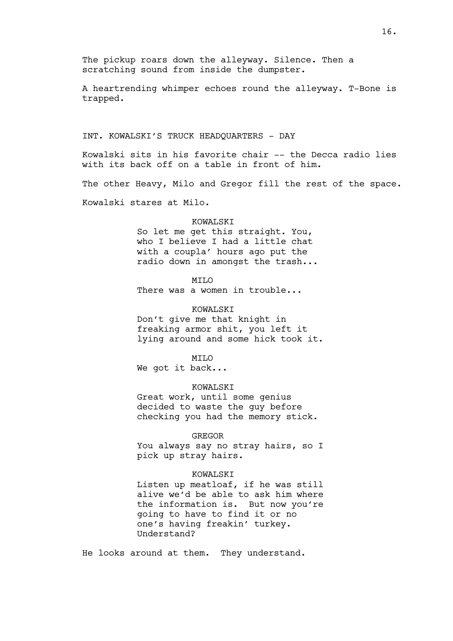A heartrending whimper echoes round the alleyway. T-Bone is trapped.

#### INT. KOWALSKI'S TRUCK HEADQUARTERS - DAY

Kowalski sits in his favorite chair -- the Decca radio lies with its back off on a table in front of him.

The other Heavy, Milo and Gregor fill the rest of the space.

Kowalski stares at Milo.

## KOWALSKT

So let me get this straight. You, who I believe I had a little chat with a coupla' hours ago put the radio down in amongst the trash...

# **MTT<sub>O</sub>**

There was a women in trouble...

## KOWALSKI

Don't give me that knight in freaking armor shit, you left it lying around and some hick took it.

## MILO

We got it back...

# KOWALSKI

Great work, until some genius decided to waste the guy before checking you had the memory stick.

#### GREGOR

You always say no stray hairs, so I pick up stray hairs.

## KOWALSKI

Listen up meatloaf, if he was still alive we'd be able to ask him where the information is. But now you're going to have to find it or no one's having freakin' turkey. Understand?

He looks around at them. They understand.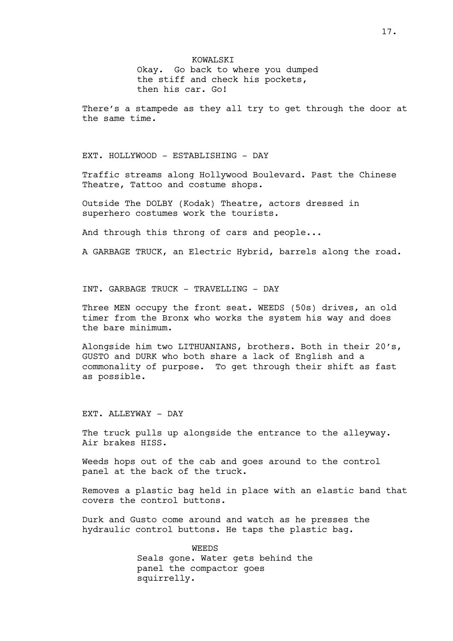KOWALSKI Okay. Go back to where you dumped the stiff and check his pockets, then his car. Go!

There's a stampede as they all try to get through the door at the same time.

EXT. HOLLYWOOD - ESTABLISHING - DAY

Traffic streams along Hollywood Boulevard. Past the Chinese Theatre, Tattoo and costume shops.

Outside The DOLBY (Kodak) Theatre, actors dressed in superhero costumes work the tourists.

And through this throng of cars and people...

A GARBAGE TRUCK, an Electric Hybrid, barrels along the road.

INT. GARBAGE TRUCK - TRAVELLING - DAY

Three MEN occupy the front seat. WEEDS (50s) drives, an old timer from the Bronx who works the system his way and does the bare minimum.

Alongside him two LITHUANIANS, brothers. Both in their 20's, GUSTO and DURK who both share a lack of English and a commonality of purpose. To get through their shift as fast as possible.

EXT. ALLEYWAY - DAY

The truck pulls up alongside the entrance to the alleyway. Air brakes HISS.

Weeds hops out of the cab and goes around to the control panel at the back of the truck.

Removes a plastic bag held in place with an elastic band that covers the control buttons.

Durk and Gusto come around and watch as he presses the hydraulic control buttons. He taps the plastic bag.

> WEEDS Seals gone. Water gets behind the panel the compactor goes squirrelly.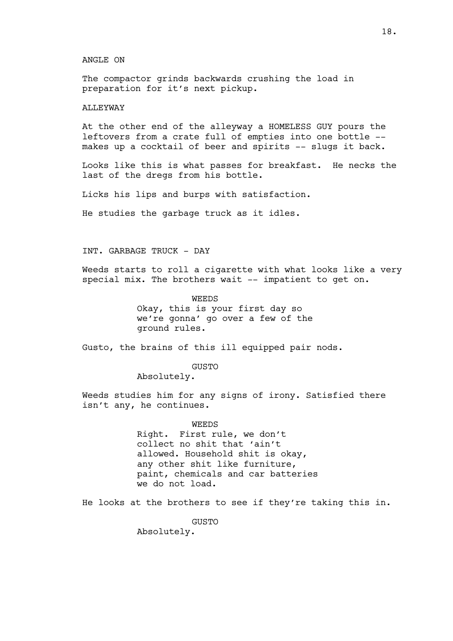#### ANGLE ON

The compactor grinds backwards crushing the load in preparation for it's next pickup.

## ALLEYWAY

At the other end of the alleyway a HOMELESS GUY pours the leftovers from a crate full of empties into one bottle - makes up a cocktail of beer and spirits -- slugs it back.

Looks like this is what passes for breakfast. He necks the last of the dregs from his bottle.

Licks his lips and burps with satisfaction.

He studies the garbage truck as it idles.

# INT. GARBAGE TRUCK - DAY

Weeds starts to roll a cigarette with what looks like a very special mix. The brothers wait -- impatient to get on.

> WEEDS Okay, this is your first day so we're gonna' go over a few of the ground rules.

Gusto, the brains of this ill equipped pair nods.

GUSTO

Absolutely.

Weeds studies him for any signs of irony. Satisfied there isn't any, he continues.

WEEDS

Right. First rule, we don't collect no shit that 'ain't allowed. Household shit is okay, any other shit like furniture, paint, chemicals and car batteries we do not load.

He looks at the brothers to see if they're taking this in.

**GUSTO** 

Absolutely.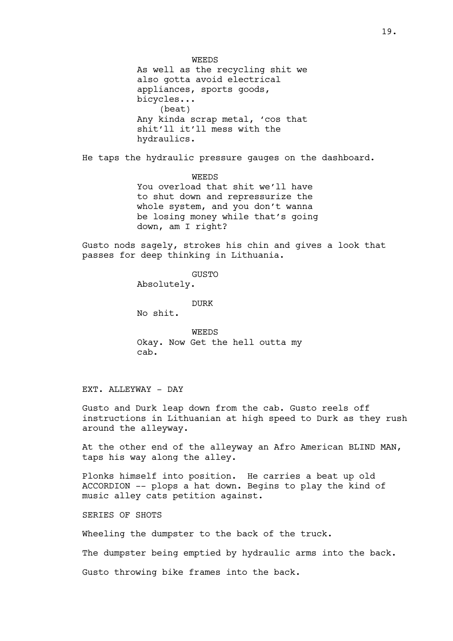WEEDS As well as the recycling shit we also gotta avoid electrical appliances, sports goods, bicycles... (beat) Any kinda scrap metal, 'cos that shit'll it'll mess with the hydraulics.

He taps the hydraulic pressure gauges on the dashboard.

WEEDS You overload that shit we'll have to shut down and repressurize the whole system, and you don't wanna be losing money while that's going down, am I right?

Gusto nods sagely, strokes his chin and gives a look that passes for deep thinking in Lithuania.

**GUSTO** 

Absolutely.

DURK

No shit.

WEEDS Okay. Now Get the hell outta my cab.

EXT. ALLEYWAY - DAY

Gusto and Durk leap down from the cab. Gusto reels off instructions in Lithuanian at high speed to Durk as they rush around the alleyway.

At the other end of the alleyway an Afro American BLIND MAN, taps his way along the alley.

Plonks himself into position. He carries a beat up old ACCORDION -- plops a hat down. Begins to play the kind of music alley cats petition against.

SERIES OF SHOTS

Wheeling the dumpster to the back of the truck.

The dumpster being emptied by hydraulic arms into the back.

Gusto throwing bike frames into the back.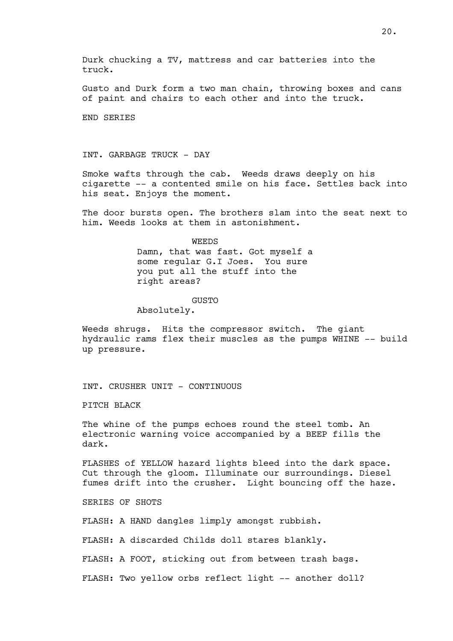Durk chucking a TV, mattress and car batteries into the truck.

Gusto and Durk form a two man chain, throwing boxes and cans of paint and chairs to each other and into the truck.

END SERIES

INT. GARBAGE TRUCK - DAY

Smoke wafts through the cab. Weeds draws deeply on his cigarette -- a contented smile on his face. Settles back into his seat. Enjoys the moment.

The door bursts open. The brothers slam into the seat next to him. Weeds looks at them in astonishment.

> **WEEDS** Damn, that was fast. Got myself a some regular G.I Joes. You sure you put all the stuff into the right areas?

## GUSTO

Absolutely.

Weeds shrugs. Hits the compressor switch. The giant hydraulic rams flex their muscles as the pumps WHINE -- build up pressure.

INT. CRUSHER UNIT - CONTINUOUS

PITCH BLACK

The whine of the pumps echoes round the steel tomb. An electronic warning voice accompanied by a BEEP fills the dark.

FLASHES of YELLOW hazard lights bleed into the dark space. Cut through the gloom. Illuminate our surroundings. Diesel fumes drift into the crusher. Light bouncing off the haze.

SERIES OF SHOTS

FLASH: A HAND dangles limply amongst rubbish.

FLASH: A discarded Childs doll stares blankly.

FLASH: A FOOT, sticking out from between trash bags.

FLASH: Two yellow orbs reflect light -- another doll?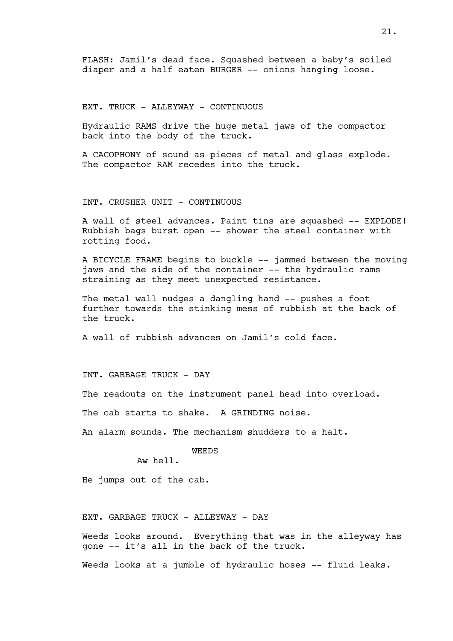FLASH: Jamil's dead face. Squashed between a baby's soiled diaper and a half eaten BURGER -- onions hanging loose.

EXT. TRUCK - ALLEYWAY - CONTINUOUS

Hydraulic RAMS drive the huge metal jaws of the compactor back into the body of the truck.

A CACOPHONY of sound as pieces of metal and glass explode. The compactor RAM recedes into the truck.

INT. CRUSHER UNIT - CONTINUOUS

A wall of steel advances. Paint tins are squashed -- EXPLODE! Rubbish bags burst open -- shower the steel container with rotting food.

A BICYCLE FRAME begins to buckle -- jammed between the moving jaws and the side of the container -- the hydraulic rams straining as they meet unexpected resistance.

The metal wall nudges a dangling hand -- pushes a foot further towards the stinking mess of rubbish at the back of the truck.

A wall of rubbish advances on Jamil's cold face.

INT. GARBAGE TRUCK - DAY

The readouts on the instrument panel head into overload.

The cab starts to shake. A GRINDING noise.

An alarm sounds. The mechanism shudders to a halt.

WEEDS

Aw hell.

He jumps out of the cab.

EXT. GARBAGE TRUCK - ALLEYWAY - DAY

Weeds looks around. Everything that was in the alleyway has gone -- it's all in the back of the truck.

Weeds looks at a jumble of hydraulic hoses -- fluid leaks.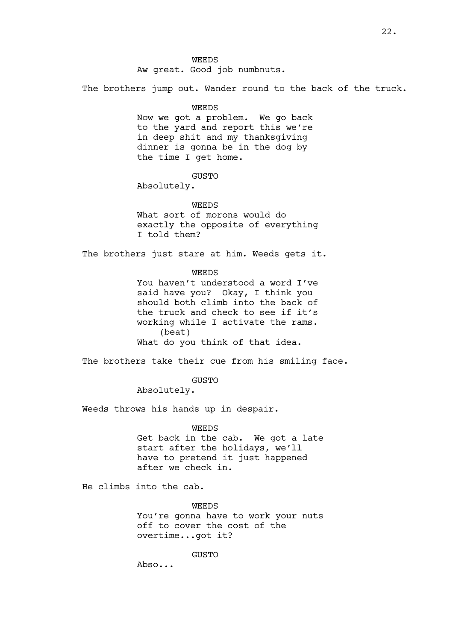Aw great. Good job numbnuts.

The brothers jump out. Wander round to the back of the truck.

WEEDS

Now we got a problem. We go back to the yard and report this we're in deep shit and my thanksgiving dinner is gonna be in the dog by the time I get home.

GUSTO

Absolutely.

WEEDS What sort of morons would do exactly the opposite of everything I told them?

The brothers just stare at him. Weeds gets it.

WEEDS

You haven't understood a word I've said have you? Okay, I think you should both climb into the back of the truck and check to see if it's working while I activate the rams. (beat) What do you think of that idea.

The brothers take their cue from his smiling face.

GUSTO

Absolutely.

Weeds throws his hands up in despair.

WEEDS

Get back in the cab. We got a late start after the holidays, we'll have to pretend it just happened after we check in.

He climbs into the cab.

WEEDS

You're gonna have to work your nuts off to cover the cost of the overtime...got it?

GUSTO

Abso...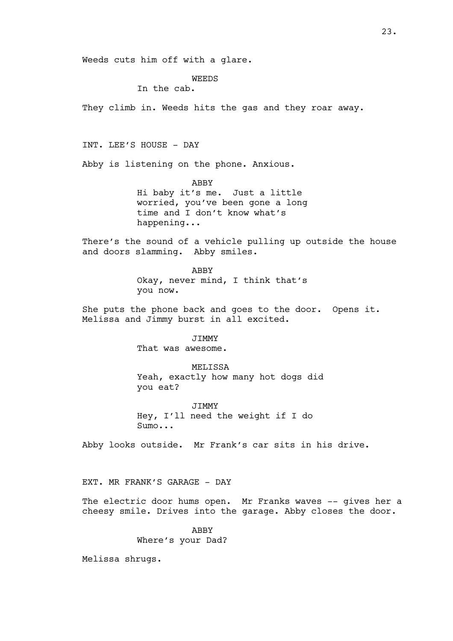Weeds cuts him off with a glare.

WEEDS

In the cab.

They climb in. Weeds hits the gas and they roar away.

INT. LEE'S HOUSE - DAY

Abby is listening on the phone. Anxious.

ABBY Hi baby it's me. Just a little worried, you've been gone a long time and I don't know what's happening...

There's the sound of a vehicle pulling up outside the house and doors slamming. Abby smiles.

> ABBY Okay, never mind, I think that's you now.

She puts the phone back and goes to the door. Opens it. Melissa and Jimmy burst in all excited.

> JIMMY That was awesome.

MELISSA Yeah, exactly how many hot dogs did you eat?

JIMMY Hey, I'll need the weight if I do Sumo...

Abby looks outside. Mr Frank's car sits in his drive.

EXT. MR FRANK'S GARAGE - DAY

The electric door hums open. Mr Franks waves -- gives her a cheesy smile. Drives into the garage. Abby closes the door.

> ABBY Where's your Dad?

Melissa shrugs.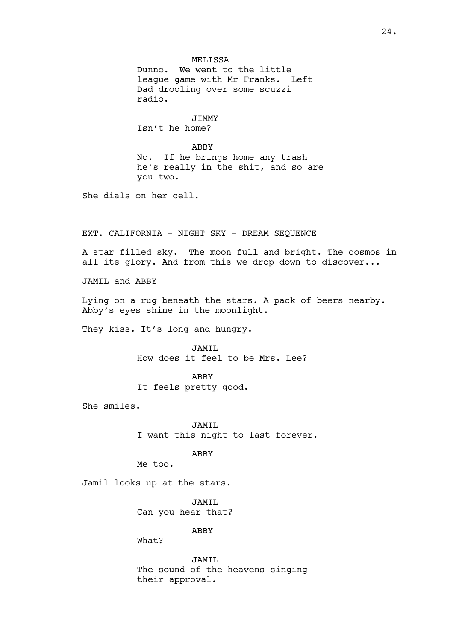MELISSA Dunno. We went to the little league game with Mr Franks. Left Dad drooling over some scuzzi radio.

JIMMY Isn't he home?

ABBY No. If he brings home any trash he's really in the shit, and so are you two.

She dials on her cell.

EXT. CALIFORNIA - NIGHT SKY - DREAM SEQUENCE

A star filled sky. The moon full and bright. The cosmos in all its glory. And from this we drop down to discover...

JAMIL and ABBY

Lying on a rug beneath the stars. A pack of beers nearby. Abby's eyes shine in the moonlight.

They kiss. It's long and hungry.

JAMIL How does it feel to be Mrs. Lee?

ABBY It feels pretty good.

She smiles.

JAMIL I want this night to last forever.

ABBY

Me too.

Jamil looks up at the stars.

JAMIL Can you hear that?

ABBY

What?

JAMIL The sound of the heavens singing their approval.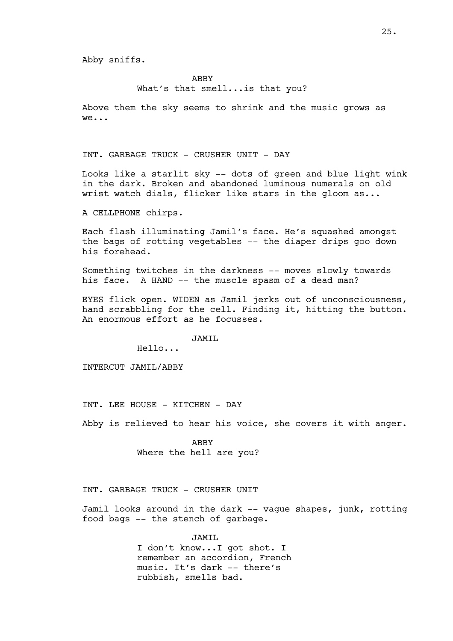ABBY

# What's that smell...is that you?

Above them the sky seems to shrink and the music grows as we...

INT. GARBAGE TRUCK - CRUSHER UNIT - DAY

Looks like a starlit sky -- dots of green and blue light wink in the dark. Broken and abandoned luminous numerals on old wrist watch dials, flicker like stars in the gloom as...

A CELLPHONE chirps.

Each flash illuminating Jamil's face. He's squashed amongst the bags of rotting vegetables -- the diaper drips goo down his forehead.

Something twitches in the darkness -- moves slowly towards his face. A HAND -- the muscle spasm of a dead man?

EYES flick open. WIDEN as Jamil jerks out of unconsciousness, hand scrabbling for the cell. Finding it, hitting the button. An enormous effort as he focusses.

JAMIL

Hello...

INTERCUT JAMIL/ABBY

INT. LEE HOUSE - KITCHEN - DAY

Abby is relieved to hear his voice, she covers it with anger.

ABBY Where the hell are you?

INT. GARBAGE TRUCK - CRUSHER UNIT

Jamil looks around in the dark -- vague shapes, junk, rotting food bags -- the stench of garbage.

> JAMIL I don't know...I got shot. I remember an accordion, French music. It's dark -- there's rubbish, smells bad.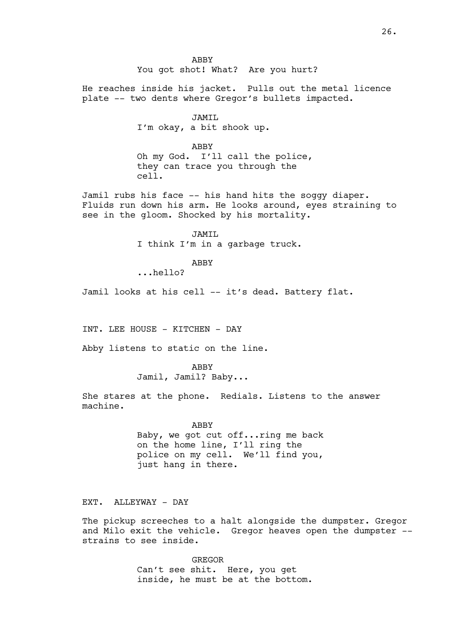ABBY You got shot! What? Are you hurt?

He reaches inside his jacket. Pulls out the metal licence plate -- two dents where Gregor's bullets impacted.

> JAMIL I'm okay, a bit shook up.

> > ABBY

Oh my God. I'll call the police, they can trace you through the cell.

Jamil rubs his face -- his hand hits the soggy diaper. Fluids run down his arm. He looks around, eyes straining to see in the gloom. Shocked by his mortality.

> JAMIL I think I'm in a garbage truck.

> > ABBY

...hello?

Jamil looks at his cell -- it's dead. Battery flat.

INT. LEE HOUSE - KITCHEN - DAY

Abby listens to static on the line.

ABBY

Jamil, Jamil? Baby...

She stares at the phone. Redials. Listens to the answer machine.

ABBY

Baby, we got cut off...ring me back on the home line, I'll ring the police on my cell. We'll find you, just hang in there.

EXT. ALLEYWAY - DAY

The pickup screeches to a halt alongside the dumpster. Gregor and Milo exit the vehicle. Gregor heaves open the dumpster - strains to see inside.

> GREGOR Can't see shit. Here, you get inside, he must be at the bottom.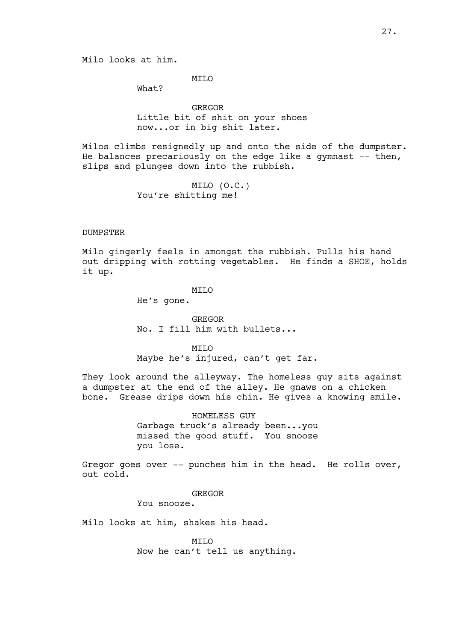MILO

What?

GREGOR Little bit of shit on your shoes now...or in big shit later.

Milos climbs resignedly up and onto the side of the dumpster. He balances precariously on the edge like a gymnast  $-$ - then, slips and plunges down into the rubbish.

> MILO (O.C.) You're shitting me!

## DUMPSTER

Milo gingerly feels in amongst the rubbish. Pulls his hand out dripping with rotting vegetables. He finds a SHOE, holds it up.

#### **MTT<sub>O</sub>**

He's gone.

GREGOR No. I fill him with bullets...

MTT.O Maybe he's injured, can't get far.

They look around the alleyway. The homeless guy sits against a dumpster at the end of the alley. He gnaws on a chicken bone. Grease drips down his chin. He gives a knowing smile.

> HOMELESS GUY Garbage truck's already been...you missed the good stuff. You snooze you lose.

Gregor goes over -- punches him in the head. He rolls over, out cold.

GREGOR

You snooze.

Milo looks at him, shakes his head.

MILO Now he can't tell us anything.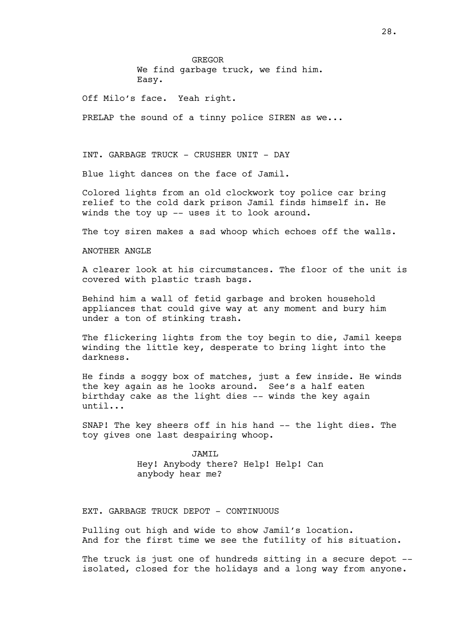GREGOR We find garbage truck, we find him. Easy.

Off Milo's face. Yeah right.

PRELAP the sound of a tinny police SIREN as we...

INT. GARBAGE TRUCK - CRUSHER UNIT - DAY

Blue light dances on the face of Jamil.

Colored lights from an old clockwork toy police car bring relief to the cold dark prison Jamil finds himself in. He winds the toy up -- uses it to look around.

The toy siren makes a sad whoop which echoes off the walls.

#### ANOTHER ANGLE

A clearer look at his circumstances. The floor of the unit is covered with plastic trash bags.

Behind him a wall of fetid garbage and broken household appliances that could give way at any moment and bury him under a ton of stinking trash.

The flickering lights from the toy begin to die, Jamil keeps winding the little key, desperate to bring light into the darkness.

He finds a soggy box of matches, just a few inside. He winds the key again as he looks around. See's a half eaten birthday cake as the light dies -- winds the key again until...

SNAP! The key sheers off in his hand -- the light dies. The toy gives one last despairing whoop.

> JAMIL Hey! Anybody there? Help! Help! Can anybody hear me?

EXT. GARBAGE TRUCK DEPOT - CONTINUOUS

Pulling out high and wide to show Jamil's location. And for the first time we see the futility of his situation.

The truck is just one of hundreds sitting in a secure depot -isolated, closed for the holidays and a long way from anyone.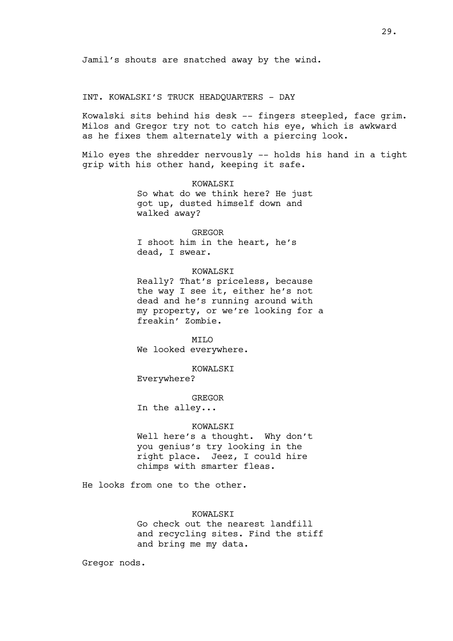Jamil's shouts are snatched away by the wind.

# INT. KOWALSKI'S TRUCK HEADQUARTERS - DAY

Kowalski sits behind his desk -- fingers steepled, face grim. Milos and Gregor try not to catch his eye, which is awkward as he fixes them alternately with a piercing look.

Milo eyes the shredder nervously -- holds his hand in a tight grip with his other hand, keeping it safe.

# KOWALSKI So what do we think here? He just

got up, dusted himself down and walked away?

## GREGOR

I shoot him in the heart, he's dead, I swear.

## KOWALSKI

Really? That's priceless, because the way I see it, either he's not dead and he's running around with my property, or we're looking for a freakin' Zombie.

**MTT<sub>O</sub>** We looked everywhere.

KOWALSKI

Everywhere?

GREGOR

In the alley...

## KOWALSKI

Well here's a thought. Why don't you genius's try looking in the right place. Jeez, I could hire chimps with smarter fleas.

He looks from one to the other.

# KOWALSKI

Go check out the nearest landfill and recycling sites. Find the stiff and bring me my data.

Gregor nods.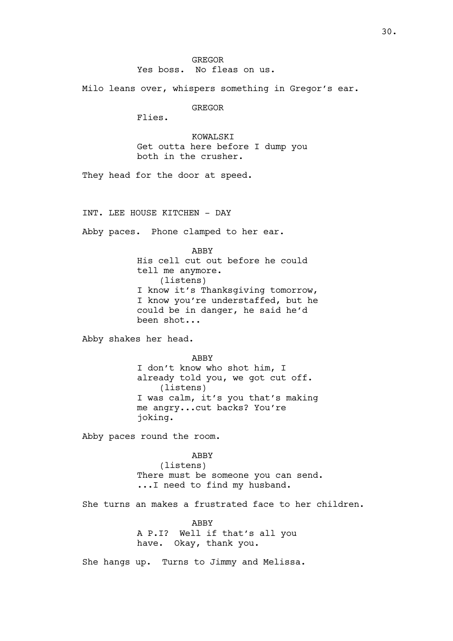Milo leans over, whispers something in Gregor's ear.

GREGOR

Flies.

KOWALSKI Get outta here before I dump you both in the crusher.

They head for the door at speed.

INT. LEE HOUSE KITCHEN - DAY

Abby paces. Phone clamped to her ear.

ABBY His cell cut out before he could tell me anymore. (listens) I know it's Thanksgiving tomorrow, I know you're understaffed, but he could be in danger, he said he'd been shot...

Abby shakes her head.

ABBY

I don't know who shot him, I already told you, we got cut off. (listens) I was calm, it's you that's making me angry...cut backs? You're joking.

Abby paces round the room.

ABBY (listens) There must be someone you can send. ...I need to find my husband.

She turns an makes a frustrated face to her children.

ABBY A P.I? Well if that's all you have. Okay, thank you.

She hangs up. Turns to Jimmy and Melissa.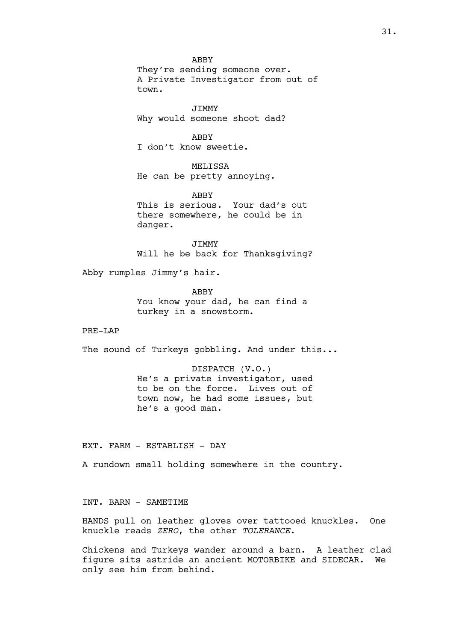ABBY They're sending someone over. A Private Investigator from out of town.

JIMMY Why would someone shoot dad?

ABBY I don't know sweetie.

MELISSA He can be pretty annoying.

ABBY This is serious. Your dad's out there somewhere, he could be in danger.

JIMMY Will he be back for Thanksgiving?

Abby rumples Jimmy's hair.

ABBY You know your dad, he can find a turkey in a snowstorm.

PRE-LAP

The sound of Turkeys gobbling. And under this...

DISPATCH (V.O.) He's a private investigator, used to be on the force. Lives out of town now, he had some issues, but he's a good man.

EXT. FARM - ESTABLISH - DAY

A rundown small holding somewhere in the country.

INT. BARN - SAMETIME

HANDS pull on leather gloves over tattooed knuckles. One knuckle reads *ZERO*, the other *TOLERANCE*.

Chickens and Turkeys wander around a barn. A leather clad figure sits astride an ancient MOTORBIKE and SIDECAR. We only see him from behind.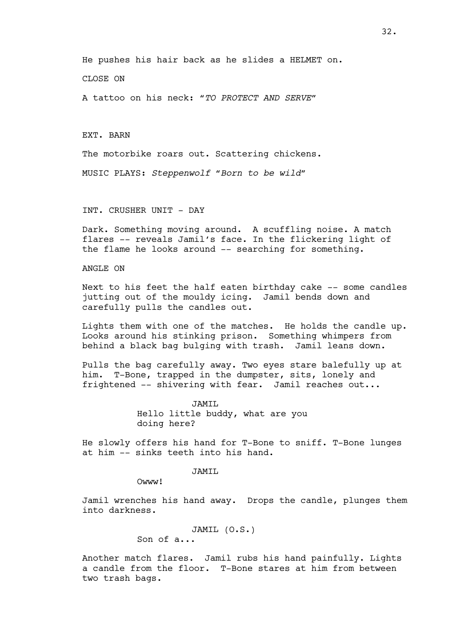He pushes his hair back as he slides a HELMET on.

CLOSE ON

A tattoo on his neck: *"TO PROTECT AND SERVE"*

EXT. BARN

The motorbike roars out. Scattering chickens.

MUSIC PLAYS: *Steppenwolf "Born to be wild"*

INT. CRUSHER UNIT - DAY

Dark. Something moving around. A scuffling noise. A match flares -- reveals Jamil's face. In the flickering light of the flame he looks around -- searching for something.

ANGLE ON

Next to his feet the half eaten birthday cake -- some candles jutting out of the mouldy icing. Jamil bends down and carefully pulls the candles out.

Lights them with one of the matches. He holds the candle up. Looks around his stinking prison. Something whimpers from behind a black bag bulging with trash. Jamil leans down.

Pulls the bag carefully away. Two eyes stare balefully up at him. T-Bone, trapped in the dumpster, sits, lonely and frightened -- shivering with fear. Jamil reaches out...

> JAMIL Hello little buddy, what are you doing here?

He slowly offers his hand for T-Bone to sniff. T-Bone lunges at him -- sinks teeth into his hand.

JAMIL

Owww<sup>!</sup>

Jamil wrenches his hand away. Drops the candle, plunges them into darkness.

> JAMIL (O.S.) Son of a...

Another match flares. Jamil rubs his hand painfully. Lights a candle from the floor. T-Bone stares at him from between two trash bags.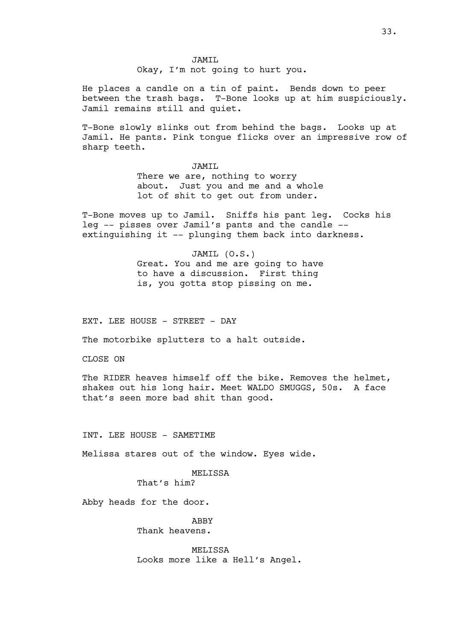JAMIL Okay, I'm not going to hurt you.

He places a candle on a tin of paint. Bends down to peer between the trash bags. T-Bone looks up at him suspiciously. Jamil remains still and quiet.

T-Bone slowly slinks out from behind the bags. Looks up at Jamil. He pants. Pink tongue flicks over an impressive row of sharp teeth.

> JAMIL There we are, nothing to worry about. Just you and me and a whole lot of shit to get out from under.

T-Bone moves up to Jamil. Sniffs his pant leg. Cocks his leg -- pisses over Jamil's pants and the candle - extinguishing it -- plunging them back into darkness.

> JAMIL (O.S.) Great. You and me are going to have to have a discussion. First thing is, you gotta stop pissing on me.

EXT. LEE HOUSE - STREET - DAY

The motorbike splutters to a halt outside.

CLOSE ON

The RIDER heaves himself off the bike. Removes the helmet, shakes out his long hair. Meet WALDO SMUGGS, 50s. A face that's seen more bad shit than good.

INT. LEE HOUSE - SAMETIME

Melissa stares out of the window. Eyes wide.

MELISSA

That's him?

Abby heads for the door.

ABBY Thank heavens.

MELISSA Looks more like a Hell's Angel.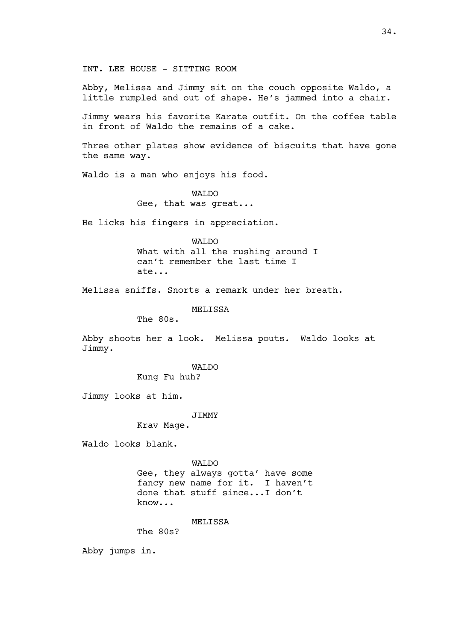INT. LEE HOUSE - SITTING ROOM

Abby, Melissa and Jimmy sit on the couch opposite Waldo, a little rumpled and out of shape. He's jammed into a chair.

Jimmy wears his favorite Karate outfit. On the coffee table in front of Waldo the remains of a cake.

Three other plates show evidence of biscuits that have gone the same way.

Waldo is a man who enjoys his food.

WALDO Gee, that was great...

He licks his fingers in appreciation.

WALDO What with all the rushing around I can't remember the last time I ate...

Melissa sniffs. Snorts a remark under her breath.

MELISSA

The 80s.

Abby shoots her a look. Melissa pouts. Waldo looks at Jimmy.

WALDO

Kung Fu huh?

Jimmy looks at him.

**JTMMY** 

Krav Mage.

Waldo looks blank.

WALDO

Gee, they always gotta' have some fancy new name for it. I haven't done that stuff since...I don't know...

MELISSA

The 80s?

Abby jumps in.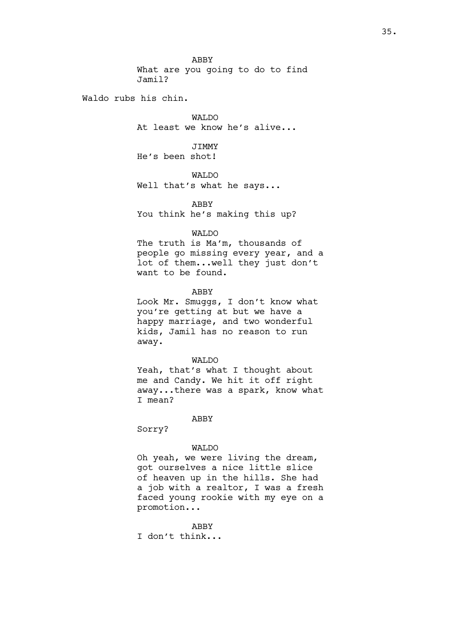ABBY What are you going to do to find Jamil?

Waldo rubs his chin.

WALDO At least we know he's alive...

JIMMY He's been shot!

WALDO Well that's what he says...

ABBY You think he's making this up?

## WALDO

The truth is Ma'm, thousands of people go missing every year, and a lot of them...well they just don't want to be found.

ABBY

Look Mr. Smuggs, I don't know what you're getting at but we have a happy marriage, and two wonderful kids, Jamil has no reason to run away.

## WALDO

Yeah, that's what I thought about me and Candy. We hit it off right away...there was a spark, know what I mean?

#### ABBY

Sorry?

#### WALDO

Oh yeah, we were living the dream, got ourselves a nice little slice of heaven up in the hills. She had a job with a realtor, I was a fresh faced young rookie with my eye on a promotion...

## ABBY

I don't think...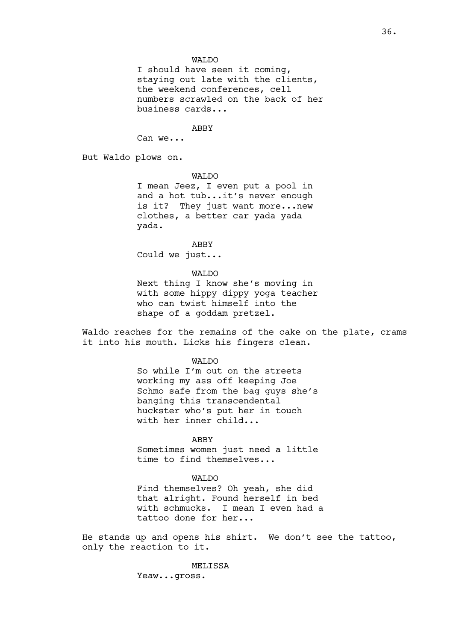### WALDO

I should have seen it coming, staying out late with the clients, the weekend conferences, cell numbers scrawled on the back of her business cards...

### ABBY

Can we...

But Waldo plows on.

### WALDO

I mean Jeez, I even put a pool in and a hot tub...it's never enough is it? They just want more...new clothes, a better car yada yada yada.

### ABBY

Could we just...

### WALDO

Next thing I know she's moving in with some hippy dippy yoga teacher who can twist himself into the shape of a goddam pretzel.

Waldo reaches for the remains of the cake on the plate, crams it into his mouth. Licks his fingers clean.

#### WALDO

So while I'm out on the streets working my ass off keeping Joe Schmo safe from the bag guys she's banging this transcendental huckster who's put her in touch with her inner child...

#### ABBY

Sometimes women just need a little time to find themselves...

## WALDO

Find themselves? Oh yeah, she did that alright. Found herself in bed with schmucks. I mean I even had a tattoo done for her...

He stands up and opens his shirt. We don't see the tattoo, only the reaction to it.

**MELISSA** 

Yeaw...gross.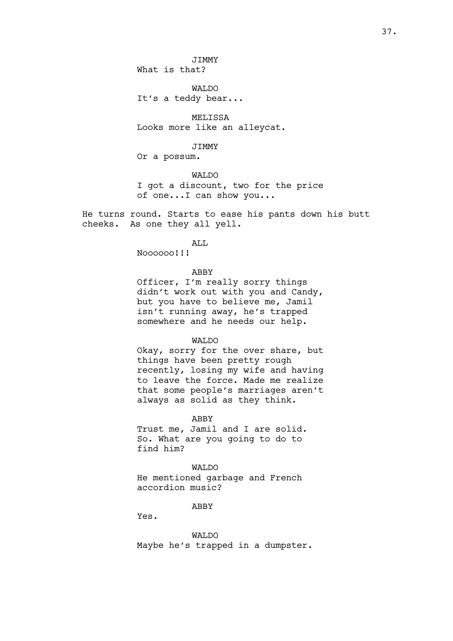JIMMY

What is that?

WALDO It's a teddy bear...

MELISSA Looks more like an alleycat.

JIMMY

Or a possum.

WALDO I got a discount, two for the price of one...I can show you...

He turns round. Starts to ease his pants down his butt cheeks. As one they all yell.

ALL

Noooooo!!!

### ABBY

Officer, I'm really sorry things didn't work out with you and Candy, but you have to believe me, Jamil isn't running away, he's trapped somewhere and he needs our help.

# WALDO

Okay, sorry for the over share, but things have been pretty rough recently, losing my wife and having to leave the force. Made me realize that some people's marriages aren't always as solid as they think.

ABBY Trust me, Jamil and I are solid. So. What are you going to do to

#### WALDO

He mentioned garbage and French accordion music?

ABBY

Yes.

find him?

WALDO Maybe he's trapped in a dumpster.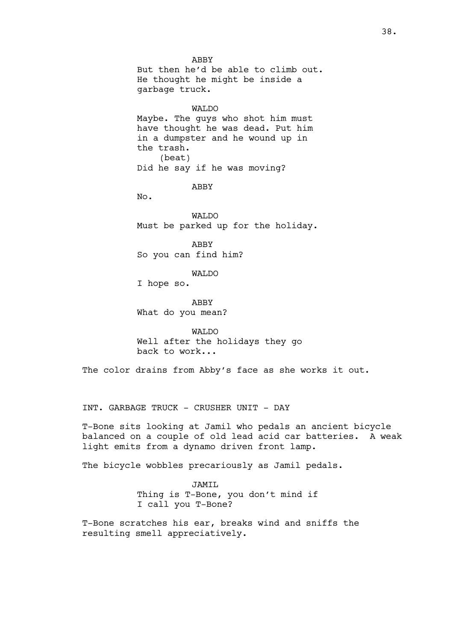ABBY But then he'd be able to climb out. He thought he might be inside a garbage truck.

WALDO Maybe. The guys who shot him must have thought he was dead. Put him in a dumpster and he wound up in the trash. (beat) Did he say if he was moving?

ABBY

No.

WALDO Must be parked up for the holiday.

ABBY So you can find him?

WALDO

I hope so.

ABBY What do you mean?

WAT<sub>DO</sub> Well after the holidays they go back to work...

The color drains from Abby's face as she works it out.

INT. GARBAGE TRUCK - CRUSHER UNIT - DAY

T-Bone sits looking at Jamil who pedals an ancient bicycle balanced on a couple of old lead acid car batteries. A weak light emits from a dynamo driven front lamp.

The bicycle wobbles precariously as Jamil pedals.

JAMIL Thing is T-Bone, you don't mind if I call you T-Bone?

T-Bone scratches his ear, breaks wind and sniffs the resulting smell appreciatively.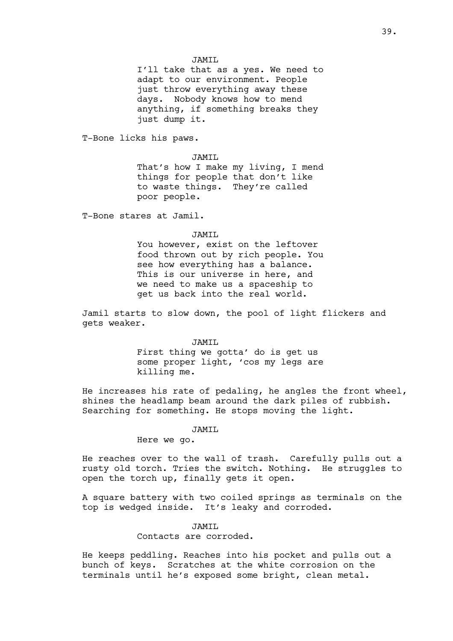I'll take that as a yes. We need to adapt to our environment. People just throw everything away these days. Nobody knows how to mend anything, if something breaks they just dump it.

T-Bone licks his paws.

JAMTT.

That's how I make my living, I mend things for people that don't like to waste things. They're called poor people.

T-Bone stares at Jamil.

### JAMIL

You however, exist on the leftover food thrown out by rich people. You see how everything has a balance. This is our universe in here, and we need to make us a spaceship to get us back into the real world.

Jamil starts to slow down, the pool of light flickers and gets weaker.

#### JAMIL

First thing we gotta' do is get us some proper light, 'cos my legs are killing me.

He increases his rate of pedaling, he angles the front wheel, shines the headlamp beam around the dark piles of rubbish. Searching for something. He stops moving the light.

# JAMIL

### Here we go.

He reaches over to the wall of trash. Carefully pulls out a rusty old torch. Tries the switch. Nothing. He struggles to open the torch up, finally gets it open.

A square battery with two coiled springs as terminals on the top is wedged inside. It's leaky and corroded.

# JAMIL

Contacts are corroded.

He keeps peddling. Reaches into his pocket and pulls out a bunch of keys. Scratches at the white corrosion on the terminals until he's exposed some bright, clean metal.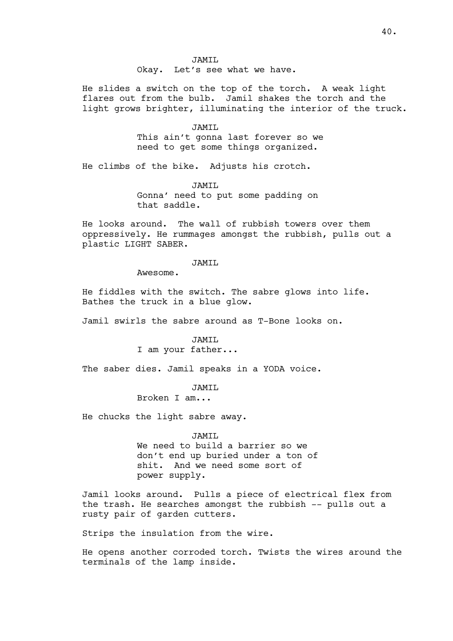JAMIL Okay. Let's see what we have.

He slides a switch on the top of the torch. A weak light flares out from the bulb. Jamil shakes the torch and the light grows brighter, illuminating the interior of the truck.

#### JAMIL

This ain't gonna last forever so we need to get some things organized.

He climbs of the bike. Adjusts his crotch.

JAMIL

Gonna' need to put some padding on that saddle.

He looks around. The wall of rubbish towers over them oppressively. He rummages amongst the rubbish, pulls out a plastic LIGHT SABER.

### JAMIL

Awesome.

He fiddles with the switch. The sabre glows into life. Bathes the truck in a blue glow.

Jamil swirls the sabre around as T-Bone looks on.

### JAMIL

I am your father...

The saber dies. Jamil speaks in a YODA voice.

#### JAMIL

Broken I am...

He chucks the light sabre away.

#### JAMIL

We need to build a barrier so we don't end up buried under a ton of shit. And we need some sort of power supply.

Jamil looks around. Pulls a piece of electrical flex from the trash. He searches amongst the rubbish -- pulls out a rusty pair of garden cutters.

Strips the insulation from the wire.

He opens another corroded torch. Twists the wires around the terminals of the lamp inside.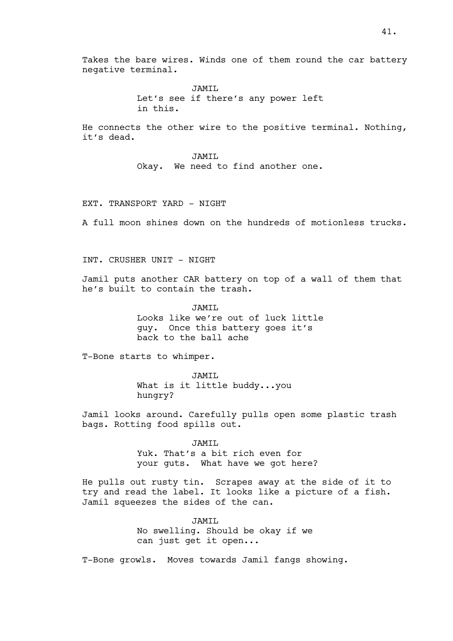Takes the bare wires. Winds one of them round the car battery negative terminal.

> JAMTT. Let's see if there's any power left in this.

He connects the other wire to the positive terminal. Nothing, it's dead.

> JAMIL Okay. We need to find another one.

### EXT. TRANSPORT YARD - NIGHT

A full moon shines down on the hundreds of motionless trucks.

# INT. CRUSHER UNIT - NIGHT

Jamil puts another CAR battery on top of a wall of them that he's built to contain the trash.

> JAMIL Looks like we're out of luck little guy. Once this battery goes it's

back to the ball ache

T-Bone starts to whimper.

JAMIL What is it little buddy...you hungry?

Jamil looks around. Carefully pulls open some plastic trash bags. Rotting food spills out.

> JAMIL Yuk. That's a bit rich even for your guts. What have we got here?

He pulls out rusty tin. Scrapes away at the side of it to try and read the label. It looks like a picture of a fish. Jamil squeezes the sides of the can.

> JAMIL No swelling. Should be okay if we can just get it open...

T-Bone growls. Moves towards Jamil fangs showing.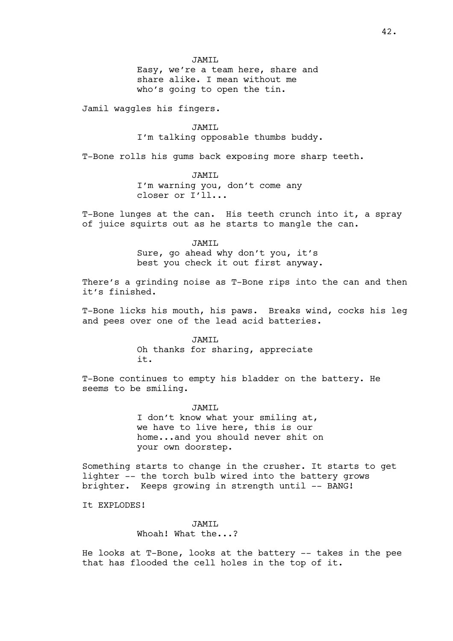Easy, we're a team here, share and share alike. I mean without me who's going to open the tin.

Jamil waggles his fingers.

JAMIL

I'm talking opposable thumbs buddy.

T-Bone rolls his gums back exposing more sharp teeth.

JAMIL I'm warning you, don't come any closer or I'll...

T-Bone lunges at the can. His teeth crunch into it, a spray of juice squirts out as he starts to mangle the can.

> JAMIL Sure, go ahead why don't you, it's best you check it out first anyway.

There's a grinding noise as T-Bone rips into the can and then it's finished.

T-Bone licks his mouth, his paws. Breaks wind, cocks his leg and pees over one of the lead acid batteries.

> JAMIL Oh thanks for sharing, appreciate it.

T-Bone continues to empty his bladder on the battery. He seems to be smiling.

> JAMIL I don't know what your smiling at, we have to live here, this is our home...and you should never shit on your own doorstep.

Something starts to change in the crusher. It starts to get lighter -- the torch bulb wired into the battery grows brighter. Keeps growing in strength until -- BANG!

It EXPLODES!

# JAMIL Whoah! What the...?

He looks at T-Bone, looks at the battery -- takes in the pee that has flooded the cell holes in the top of it.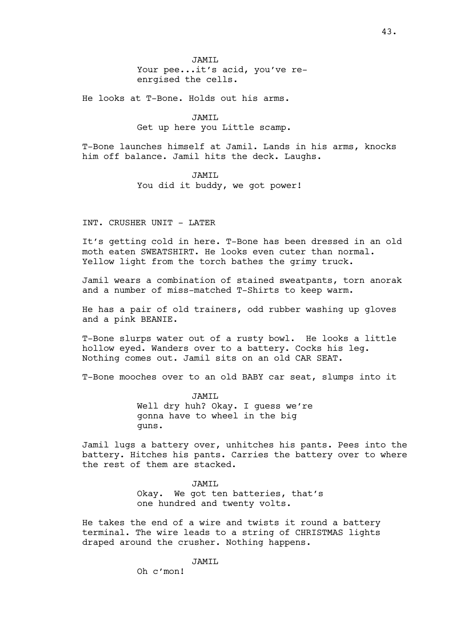JAMIL Your pee...it's acid, you've reenrgised the cells.

He looks at T-Bone. Holds out his arms.

JAMIL Get up here you Little scamp.

T-Bone launches himself at Jamil. Lands in his arms, knocks him off balance. Jamil hits the deck. Laughs.

> JAMIL You did it buddy, we got power!

INT. CRUSHER UNIT - LATER

It's getting cold in here. T-Bone has been dressed in an old moth eaten SWEATSHIRT. He looks even cuter than normal. Yellow light from the torch bathes the grimy truck.

Jamil wears a combination of stained sweatpants, torn anorak and a number of miss-matched T-Shirts to keep warm.

He has a pair of old trainers, odd rubber washing up gloves and a pink BEANIE.

T-Bone slurps water out of a rusty bowl. He looks a little hollow eyed. Wanders over to a battery. Cocks his leg. Nothing comes out. Jamil sits on an old CAR SEAT.

T-Bone mooches over to an old BABY car seat, slumps into it

JAMIL Well dry huh? Okay. I guess we're gonna have to wheel in the big guns.

Jamil lugs a battery over, unhitches his pants. Pees into the battery. Hitches his pants. Carries the battery over to where the rest of them are stacked.

> JAMTT. Okay. We got ten batteries, that's one hundred and twenty volts.

He takes the end of a wire and twists it round a battery terminal. The wire leads to a string of CHRISTMAS lights draped around the crusher. Nothing happens.

JAMTT.

Oh c'mon!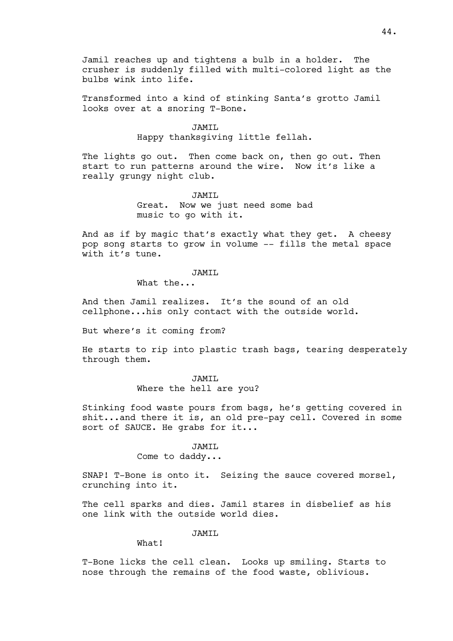Jamil reaches up and tightens a bulb in a holder. The crusher is suddenly filled with multi-colored light as the bulbs wink into life.

Transformed into a kind of stinking Santa's grotto Jamil looks over at a snoring T-Bone.

#### JAMIL

Happy thanksgiving little fellah.

The lights go out. Then come back on, then go out. Then start to run patterns around the wire. Now it's like a really grungy night club.

> JAMIL Great. Now we just need some bad music to go with it.

And as if by magic that's exactly what they get. A cheesy pop song starts to grow in volume -- fills the metal space with it's tune.

# JAMIL

What the...

And then Jamil realizes. It's the sound of an old cellphone...his only contact with the outside world.

But where's it coming from?

He starts to rip into plastic trash bags, tearing desperately through them.

# JAMIL

Where the hell are you?

Stinking food waste pours from bags, he's getting covered in shit...and there it is, an old pre-pay cell. Covered in some sort of SAUCE. He grabs for it...

### JAMIL

Come to daddy...

SNAP! T-Bone is onto it. Seizing the sauce covered morsel, crunching into it.

The cell sparks and dies. Jamil stares in disbelief as his one link with the outside world dies.

JAMIL

What!

T-Bone licks the cell clean. Looks up smiling. Starts to nose through the remains of the food waste, oblivious.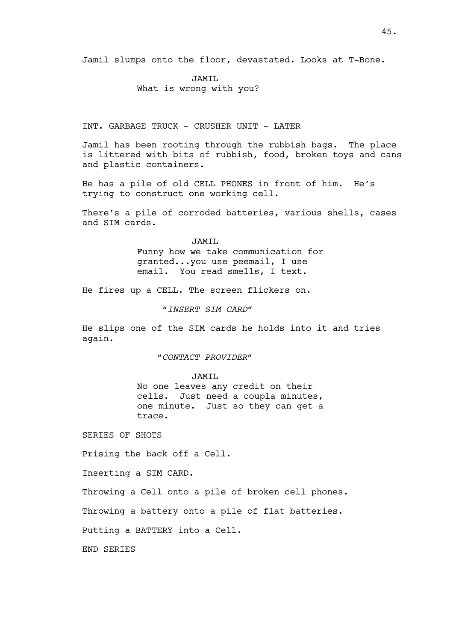Jamil slumps onto the floor, devastated. Looks at T-Bone.

JAMIL

What is wrong with you?

INT. GARBAGE TRUCK - CRUSHER UNIT - LATER

Jamil has been rooting through the rubbish bags. The place is littered with bits of rubbish, food, broken toys and cans and plastic containers.

He has a pile of old CELL PHONES in front of him. He's trying to construct one working cell.

There's a pile of corroded batteries, various shells, cases and SIM cards.

> JAMTT. Funny how we take communication for granted...you use peemail, I use email. You read smells, I text.

He fires up a CELL. The screen flickers on.

*"INSERT SIM CARD"*

He slips one of the SIM cards he holds into it and tries again.

*"CONTACT PROVIDER"*

JAMIL

No one leaves any credit on their cells. Just need a coupla minutes, one minute. Just so they can get a trace.

SERIES OF SHOTS

Prising the back off a Cell.

Inserting a SIM CARD.

Throwing a Cell onto a pile of broken cell phones.

Throwing a battery onto a pile of flat batteries.

Putting a BATTERY into a Cell.

END SERIES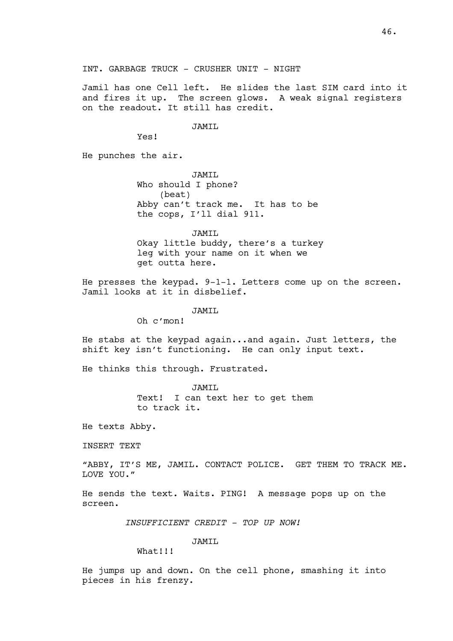Jamil has one Cell left. He slides the last SIM card into it and fires it up. The screen glows. A weak signal registers on the readout. It still has credit.

### JAMIL

Yes!

He punches the air.

JAMIL Who should I phone? (beat) Abby can't track me. It has to be the cops, I'll dial 911.

JAMIL Okay little buddy, there's a turkey leg with your name on it when we get outta here.

He presses the keypad. 9-1-1. Letters come up on the screen. Jamil looks at it in disbelief.

JAMIL

Oh c'mon!

He stabs at the keypad again...and again. Just letters, the shift key isn't functioning. He can only input text.

He thinks this through. Frustrated.

JAMIL Text! I can text her to get them to track it.

He texts Abby.

INSERT TEXT

"ABBY, IT'S ME, JAMIL. CONTACT POLICE. GET THEM TO TRACK ME. LOVE YOU."

He sends the text. Waits. PING! A message pops up on the screen.

*INSUFFICIENT CREDIT - TOP UP NOW!*

JAMIL

What!!!

He jumps up and down. On the cell phone, smashing it into pieces in his frenzy.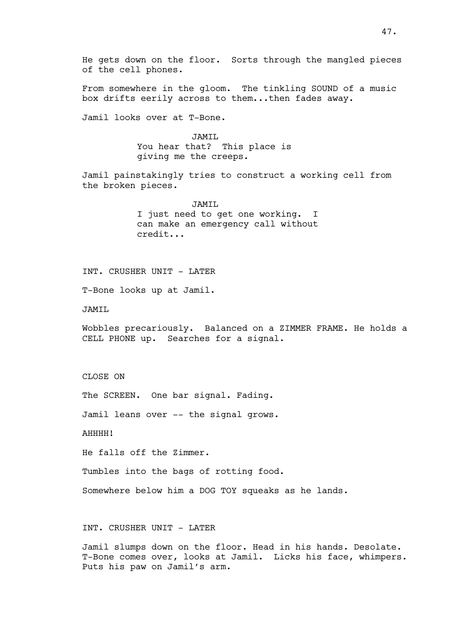He gets down on the floor. Sorts through the mangled pieces of the cell phones.

From somewhere in the gloom. The tinkling SOUND of a music box drifts eerily across to them...then fades away.

Jamil looks over at T-Bone.

JAMIL You hear that? This place is giving me the creeps.

Jamil painstakingly tries to construct a working cell from the broken pieces.

> JAMIL I just need to get one working. I can make an emergency call without credit...

INT. CRUSHER UNIT - LATER

T-Bone looks up at Jamil.

JAMIL

Wobbles precariously. Balanced on a ZIMMER FRAME. He holds a CELL PHONE up. Searches for a signal.

CLOSE ON

The SCREEN. One bar signal. Fading.

Jamil leans over -- the signal grows.

AHHHH!

He falls off the Zimmer.

Tumbles into the bags of rotting food.

Somewhere below him a DOG TOY squeaks as he lands.

## INT. CRUSHER UNIT - LATER

Jamil slumps down on the floor. Head in his hands. Desolate. T-Bone comes over, looks at Jamil. Licks his face, whimpers. Puts his paw on Jamil's arm.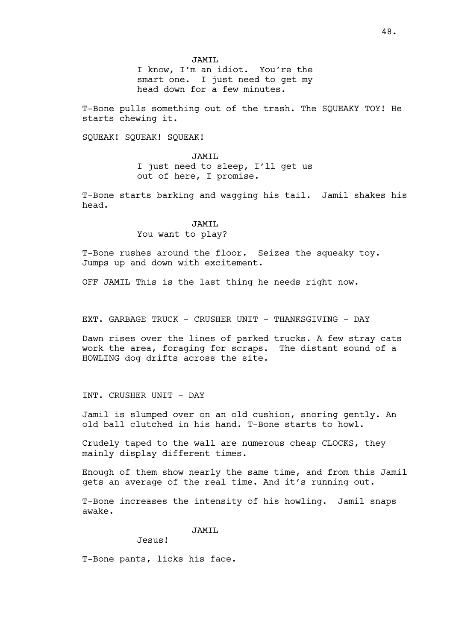JAMIL

I know, I'm an idiot. You're the smart one. I just need to get my head down for a few minutes.

T-Bone pulls something out of the trash. The SQUEAKY TOY! He starts chewing it.

SQUEAK! SQUEAK! SQUEAK!

JAMIL I just need to sleep, I'll get us out of here, I promise.

T-Bone starts barking and wagging his tail. Jamil shakes his head.

#### JAMTT.

### You want to play?

T-Bone rushes around the floor. Seizes the squeaky toy. Jumps up and down with excitement.

OFF JAMIL This is the last thing he needs right now.

EXT. GARBAGE TRUCK - CRUSHER UNIT - THANKSGIVING - DAY

Dawn rises over the lines of parked trucks. A few stray cats work the area, foraging for scraps. The distant sound of a HOWLING dog drifts across the site.

INT. CRUSHER UNIT - DAY

Jamil is slumped over on an old cushion, snoring gently. An old ball clutched in his hand. T-Bone starts to howl.

Crudely taped to the wall are numerous cheap CLOCKS, they mainly display different times.

Enough of them show nearly the same time, and from this Jamil gets an average of the real time. And it's running out.

T-Bone increases the intensity of his howling. Jamil snaps awake.

JAMIL

Jesus!

T-Bone pants, licks his face.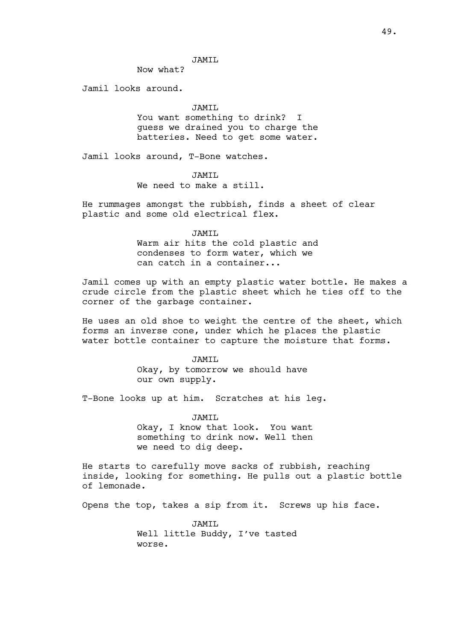### JAMIL

Now what?

Jamil looks around.

#### JAMTT.

You want something to drink? I guess we drained you to charge the batteries. Need to get some water.

Jamil looks around, T-Bone watches.

JAMIL We need to make a still.

He rummages amongst the rubbish, finds a sheet of clear plastic and some old electrical flex.

### JAMIL

Warm air hits the cold plastic and condenses to form water, which we can catch in a container...

Jamil comes up with an empty plastic water bottle. He makes a crude circle from the plastic sheet which he ties off to the corner of the garbage container.

He uses an old shoe to weight the centre of the sheet, which forms an inverse cone, under which he places the plastic water bottle container to capture the moisture that forms.

> JAMIL Okay, by tomorrow we should have our own supply.

T-Bone looks up at him. Scratches at his leg.

JAMIL Okay, I know that look. You want something to drink now. Well then we need to dig deep.

He starts to carefully move sacks of rubbish, reaching inside, looking for something. He pulls out a plastic bottle of lemonade.

Opens the top, takes a sip from it. Screws up his face.

JAMIL Well little Buddy, I've tasted worse.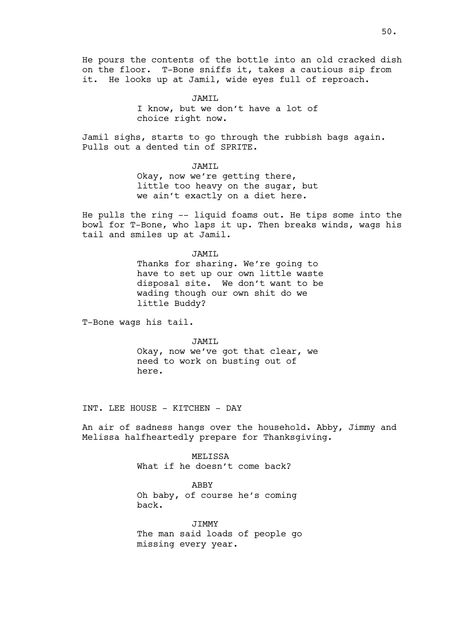He pours the contents of the bottle into an old cracked dish on the floor. T-Bone sniffs it, takes a cautious sip from it. He looks up at Jamil, wide eyes full of reproach.

> JAMTT. I know, but we don't have a lot of choice right now.

Jamil sighs, starts to go through the rubbish bags again. Pulls out a dented tin of SPRITE.

> JAMIL Okay, now we're getting there, little too heavy on the sugar, but we ain't exactly on a diet here.

He pulls the ring -- liquid foams out. He tips some into the bowl for T-Bone, who laps it up. Then breaks winds, wags his tail and smiles up at Jamil.

> JAMIL Thanks for sharing. We're going to have to set up our own little waste disposal site. We don't want to be wading though our own shit do we

T-Bone wags his tail.

JAMIL Okay, now we've got that clear, we need to work on busting out of here.

INT. LEE HOUSE - KITCHEN - DAY

little Buddy?

An air of sadness hangs over the household. Abby, Jimmy and Melissa halfheartedly prepare for Thanksgiving.

> MELISSA What if he doesn't come back?

ABBY Oh baby, of course he's coming back.

JIMMY The man said loads of people go missing every year.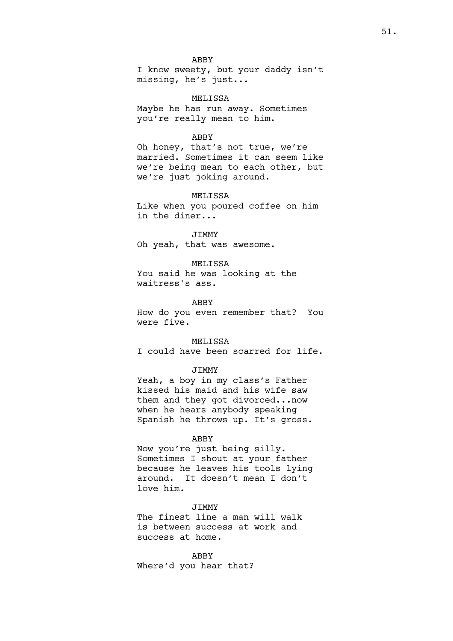### ABBY

I know sweety, but your daddy isn't missing, he's just...

MELISSA Maybe he has run away. Sometimes you're really mean to him.

#### ABBY

Oh honey, that's not true, we're married. Sometimes it can seem like we're being mean to each other, but we're just joking around.

### MELISSA

Like when you poured coffee on him in the diner...

## JIMMY

Oh yeah, that was awesome.

### MELISSA

You said he was looking at the waitress's ass.

### ABBY

How do you even remember that? You were five.

### MELISSA

I could have been scarred for life.

## JIMMY

Yeah, a boy in my class's Father kissed his maid and his wife saw them and they got divorced...now when he hears anybody speaking Spanish he throws up. It's gross.

#### ABBY

Now you're just being silly. Sometimes I shout at your father because he leaves his tools lying around. It doesn't mean I don't love him.

### **JTMMY**

The finest line a man will walk is between success at work and success at home.

ABBY Where'd you hear that?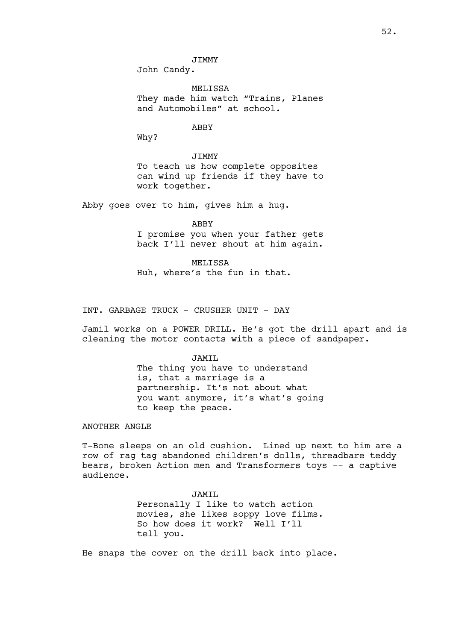John Candy.

MELISSA They made him watch "Trains, Planes and Automobiles" at school.

### ABBY

Why?

**JTMMY** To teach us how complete opposites can wind up friends if they have to work together.

Abby goes over to him, gives him a hug.

ABBY

I promise you when your father gets back I'll never shout at him again.

MELISSA Huh, where's the fun in that.

INT. GARBAGE TRUCK - CRUSHER UNIT - DAY

Jamil works on a POWER DRILL. He's got the drill apart and is cleaning the motor contacts with a piece of sandpaper.

JAMIL

The thing you have to understand is, that a marriage is a partnership. It's not about what you want anymore, it's what's going to keep the peace.

ANOTHER ANGLE

T-Bone sleeps on an old cushion. Lined up next to him are a row of rag tag abandoned children's dolls, threadbare teddy bears, broken Action men and Transformers toys -- a captive audience.

> JAMIL Personally I like to watch action movies, she likes soppy love films. So how does it work? Well I'll tell you.

He snaps the cover on the drill back into place.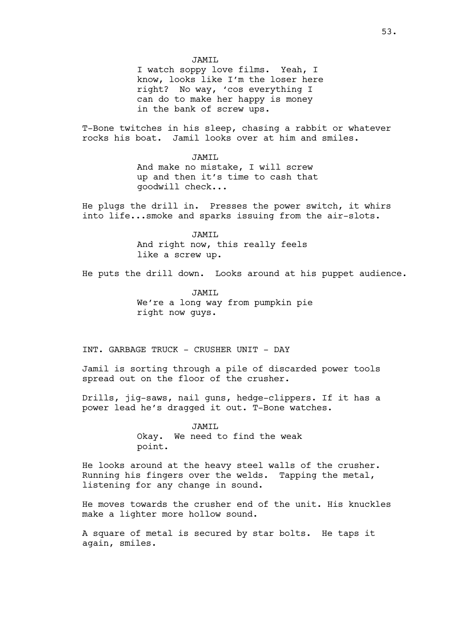I watch soppy love films. Yeah, I know, looks like I'm the loser here right? No way, 'cos everything I can do to make her happy is money in the bank of screw ups.

T-Bone twitches in his sleep, chasing a rabbit or whatever rocks his boat. Jamil looks over at him and smiles.

> JAMTT. And make no mistake, I will screw up and then it's time to cash that goodwill check...

He plugs the drill in. Presses the power switch, it whirs into life...smoke and sparks issuing from the air-slots.

> JAMIL And right now, this really feels like a screw up.

He puts the drill down. Looks around at his puppet audience.

JAMTT. We're a long way from pumpkin pie right now guys.

INT. GARBAGE TRUCK - CRUSHER UNIT - DAY

Jamil is sorting through a pile of discarded power tools spread out on the floor of the crusher.

Drills, jig-saws, nail guns, hedge-clippers. If it has a power lead he's dragged it out. T-Bone watches.

JAMIL

Okay. We need to find the weak point.

He looks around at the heavy steel walls of the crusher. Running his fingers over the welds. Tapping the metal, listening for any change in sound.

He moves towards the crusher end of the unit. His knuckles make a lighter more hollow sound.

A square of metal is secured by star bolts. He taps it again, smiles.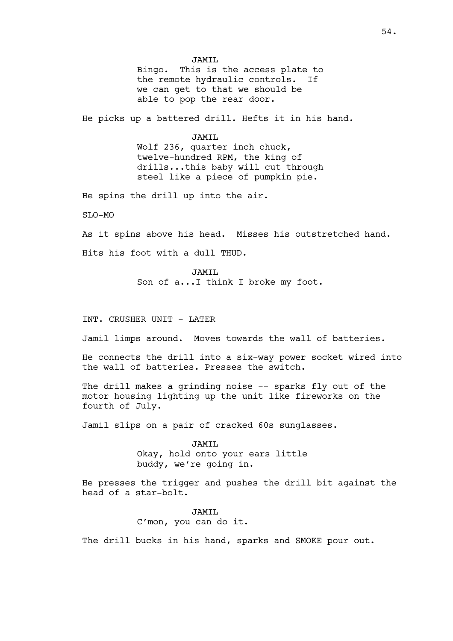JAMIL Bingo. This is the access plate to the remote hydraulic controls. If we can get to that we should be able to pop the rear door.

He picks up a battered drill. Hefts it in his hand.

JAMIL

Wolf 236, quarter inch chuck, twelve-hundred RPM, the king of drills...this baby will cut through steel like a piece of pumpkin pie.

He spins the drill up into the air.

 $ST_1O-MO$ 

As it spins above his head. Misses his outstretched hand. Hits his foot with a dull THUD.

> JAMTT. Son of a...I think I broke my foot.

INT. CRUSHER UNIT - LATER

Jamil limps around. Moves towards the wall of batteries.

He connects the drill into a six-way power socket wired into the wall of batteries. Presses the switch.

The drill makes a grinding noise -- sparks fly out of the motor housing lighting up the unit like fireworks on the fourth of July.

Jamil slips on a pair of cracked 60s sunglasses.

JAMIL Okay, hold onto your ears little buddy, we're going in.

He presses the trigger and pushes the drill bit against the head of a star-bolt.

> JAMIL C'mon, you can do it.

The drill bucks in his hand, sparks and SMOKE pour out.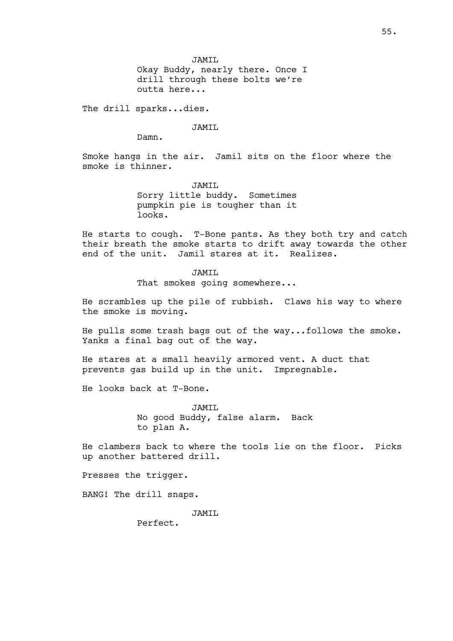JAMIL

Okay Buddy, nearly there. Once I drill through these bolts we're outta here...

The drill sparks...dies.

JAMIL

Damn.

Smoke hangs in the air. Jamil sits on the floor where the smoke is thinner.

> JAMIL Sorry little buddy. Sometimes pumpkin pie is tougher than it looks.

He starts to cough. T-Bone pants. As they both try and catch their breath the smoke starts to drift away towards the other end of the unit. Jamil stares at it. Realizes.

> JAMIL That smokes going somewhere...

He scrambles up the pile of rubbish. Claws his way to where the smoke is moving.

He pulls some trash bags out of the way...follows the smoke. Yanks a final bag out of the way.

He stares at a small heavily armored vent. A duct that prevents gas build up in the unit. Impregnable.

He looks back at T-Bone.

JAMIL No good Buddy, false alarm. Back to plan A.

He clambers back to where the tools lie on the floor. Picks up another battered drill.

Presses the trigger.

BANG! The drill snaps.

JAMTT.

Perfect.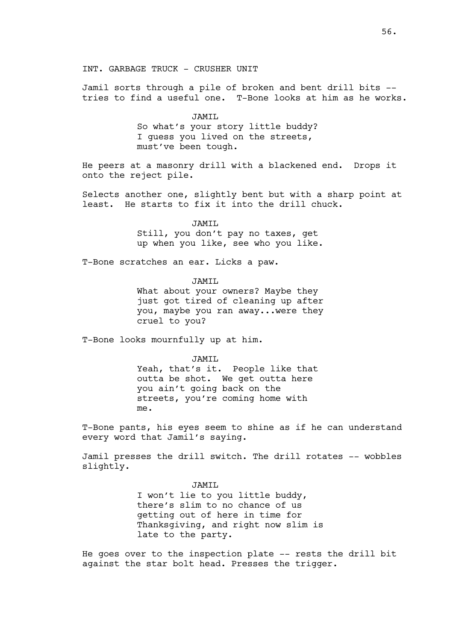Jamil sorts through a pile of broken and bent drill bits - tries to find a useful one. T-Bone looks at him as he works.

> JAMIL So what's your story little buddy? I guess you lived on the streets, must've been tough.

He peers at a masonry drill with a blackened end. Drops it onto the reject pile.

Selects another one, slightly bent but with a sharp point at least. He starts to fix it into the drill chuck.

> JAMTT. Still, you don't pay no taxes, get up when you like, see who you like.

T-Bone scratches an ear. Licks a paw.

TAMTT.

What about your owners? Maybe they just got tired of cleaning up after you, maybe you ran away...were they cruel to you?

T-Bone looks mournfully up at him.

JAMIL Yeah, that's it. People like that outta be shot. We get outta here you ain't going back on the streets, you're coming home with me.

T-Bone pants, his eyes seem to shine as if he can understand every word that Jamil's saying.

Jamil presses the drill switch. The drill rotates -- wobbles slightly.

> JAMIL I won't lie to you little buddy, there's slim to no chance of us getting out of here in time for Thanksgiving, and right now slim is late to the party.

He goes over to the inspection plate -- rests the drill bit against the star bolt head. Presses the trigger.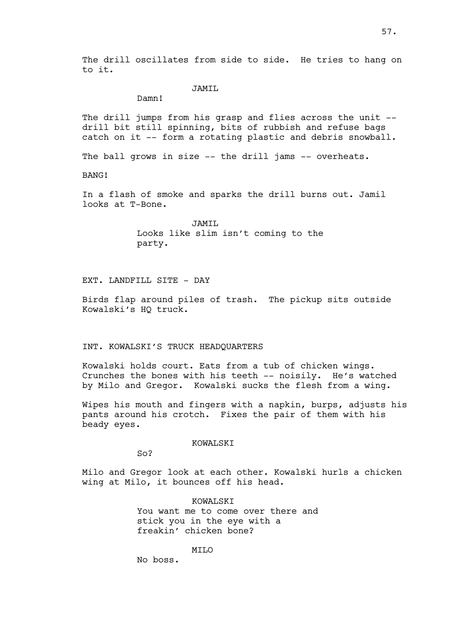The drill oscillates from side to side. He tries to hang on to it.

# JAMIL

Damn!

The drill jumps from his grasp and flies across the unit -drill bit still spinning, bits of rubbish and refuse bags catch on it -- form a rotating plastic and debris snowball.

The ball grows in size -- the drill jams -- overheats.

BANG!

In a flash of smoke and sparks the drill burns out. Jamil looks at T-Bone.

> JAMTT. Looks like slim isn't coming to the party.

EXT. LANDFILL SITE - DAY

Birds flap around piles of trash. The pickup sits outside Kowalski's HQ truck.

INT. KOWALSKI'S TRUCK HEADQUARTERS

Kowalski holds court. Eats from a tub of chicken wings. Crunches the bones with his teeth -- noisily. He's watched by Milo and Gregor. Kowalski sucks the flesh from a wing.

Wipes his mouth and fingers with a napkin, burps, adjusts his pants around his crotch. Fixes the pair of them with his beady eyes.

KOWALSKI

So?

Milo and Gregor look at each other. Kowalski hurls a chicken wing at Milo, it bounces off his head.

> KOWALSKI You want me to come over there and stick you in the eye with a freakin' chicken bone?

> > MTT.O

No boss.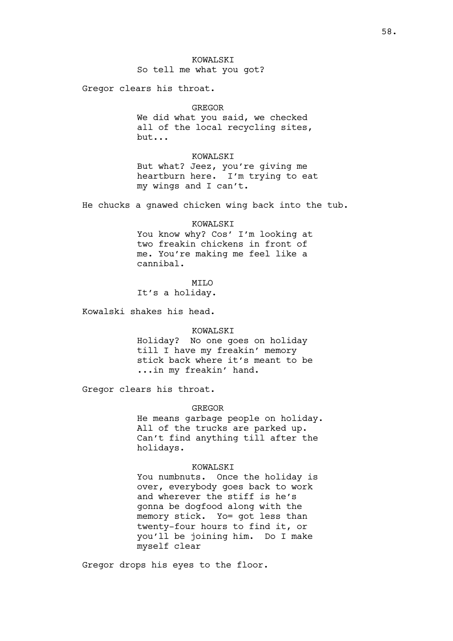# KOWALSKI So tell me what you got?

Gregor clears his throat.

#### GREGOR

We did what you said, we checked all of the local recycling sites, but...

### KOWALSKI

But what? Jeez, you're giving me heartburn here. I'm trying to eat my wings and I can't.

He chucks a gnawed chicken wing back into the tub.

#### KOWALSKT

You know why? Cos' I'm looking at two freakin chickens in front of me. You're making me feel like a cannibal.

**MTT<sub>O</sub>** It's a holiday.

Kowalski shakes his head.

### KOWALSKI

Holiday? No one goes on holiday till I have my freakin' memory stick back where it's meant to be ...in my freakin' hand.

Gregor clears his throat.

### GREGOR

He means garbage people on holiday. All of the trucks are parked up. Can't find anything till after the holidays.

### KOWALSKI

You numbnuts. Once the holiday is over, everybody goes back to work and wherever the stiff is he's gonna be dogfood along with the memory stick. Yo= got less than twenty-four hours to find it, or you'll be joining him. Do I make myself clear

Gregor drops his eyes to the floor.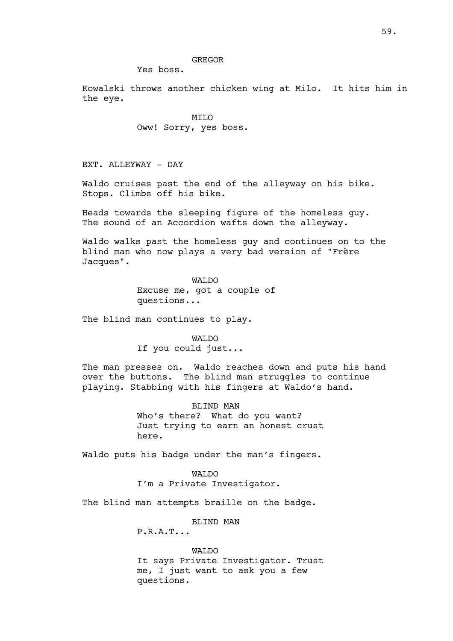### GREGOR

Yes boss.

Kowalski throws another chicken wing at Milo. It hits him in the eye.

> MILO Oww! Sorry, yes boss.

EXT. ALLEYWAY - DAY

Waldo cruises past the end of the alleyway on his bike. Stops. Climbs off his bike.

Heads towards the sleeping figure of the homeless guy. The sound of an Accordion wafts down the alleyway.

Waldo walks past the homeless guy and continues on to the blind man who now plays a very bad version of "Frère Jacques".

> WAT.DO Excuse me, got a couple of questions...

The blind man continues to play.

WALDO If you could just...

The man presses on. Waldo reaches down and puts his hand over the buttons. The blind man struggles to continue playing. Stabbing with his fingers at Waldo's hand.

> BLIND MAN Who's there? What do you want? Just trying to earn an honest crust here.

Waldo puts his badge under the man's fingers.

WALDO

I'm a Private Investigator.

The blind man attempts braille on the badge.

BLIND MAN

P.R.A.T...

WALDO It says Private Investigator. Trust me, I just want to ask you a few questions.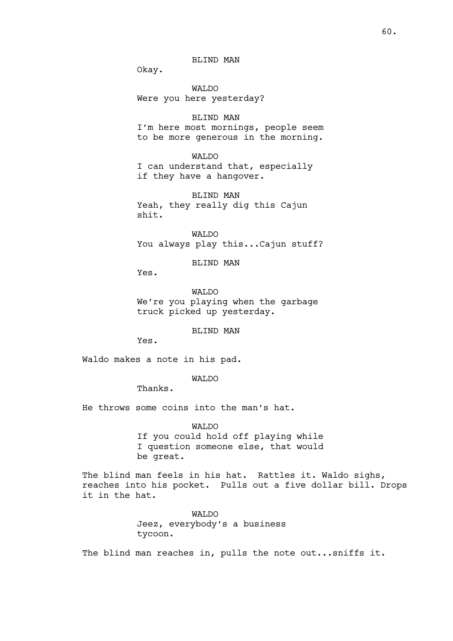BLIND MAN

Okay.

WALDO Were you here yesterday?

BLIND MAN I'm here most mornings, people seem to be more generous in the morning.

WAT<sub>DO</sub>

I can understand that, especially if they have a hangover.

BLIND MAN Yeah, they really dig this Cajun shit.

WALDO You always play this...Cajun stuff?

BLIND MAN

Yes.

WALDO We're you playing when the garbage truck picked up yesterday.

BLIND MAN

Yes.

Waldo makes a note in his pad.

# WALDO

Thanks.

He throws some coins into the man's hat.

WALDO

If you could hold off playing while I question someone else, that would be great.

The blind man feels in his hat. Rattles it. Waldo sighs, reaches into his pocket. Pulls out a five dollar bill. Drops it in the hat.

> WALDO Jeez, everybody's a business tycoon.

The blind man reaches in, pulls the note out...sniffs it.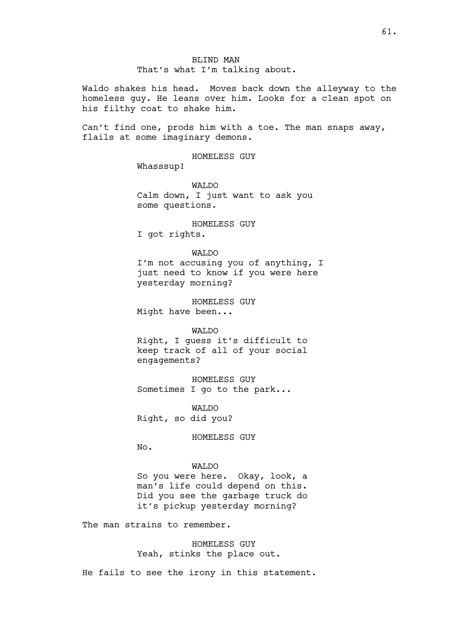Waldo shakes his head. Moves back down the alleyway to the homeless guy. He leans over him. Looks for a clean spot on his filthy coat to shake him.

Can't find one, prods him with a toe. The man snaps away, flails at some imaginary demons.

HOMELESS GUY

Whasssup!

WALDO Calm down, I just want to ask you some questions.

HOMELESS GUY I got rights.

WALDO I'm not accusing you of anything, I just need to know if you were here yesterday morning?

HOMELESS GUY Might have been...

### WALDO

Right, I guess it's difficult to keep track of all of your social engagements?

HOMELESS GUY Sometimes I go to the park...

WALDO Right, so did you?

HOMELESS GUY

 $No.$ 

# WALDO

So you were here. Okay, look, a man's life could depend on this. Did you see the garbage truck do it's pickup yesterday morning?

The man strains to remember.

HOMELESS GUY Yeah, stinks the place out.

He fails to see the irony in this statement.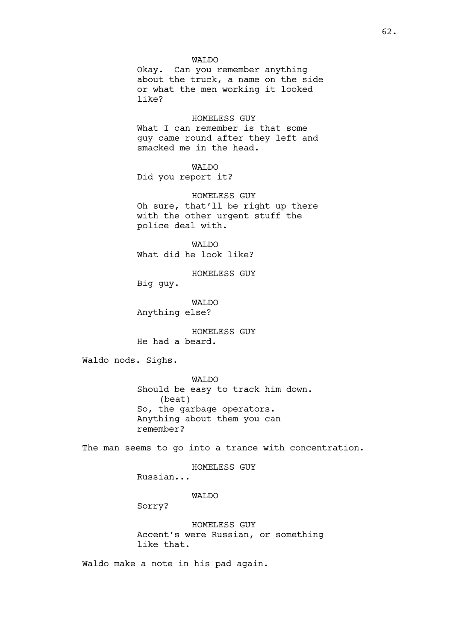### WALDO

Okay. Can you remember anything about the truck, a name on the side or what the men working it looked like?

HOMELESS GUY What I can remember is that some guy came round after they left and smacked me in the head.

### WAT<sub>DO</sub>

Did you report it?

HOMELESS GUY Oh sure, that'll be right up there with the other urgent stuff the police deal with.

WAT<sub>DO</sub> What did he look like?

HOMELESS GUY

Big guy.

WALDO Anything else?

HOMELESS GUY He had a beard.

Waldo nods. Sighs.

WALDO Should be easy to track him down. (beat) So, the garbage operators. Anything about them you can remember?

The man seems to go into a trance with concentration.

HOMELESS GUY

Russian...

# WALDO

Sorry?

HOMELESS GUY Accent's were Russian, or something like that.

Waldo make a note in his pad again.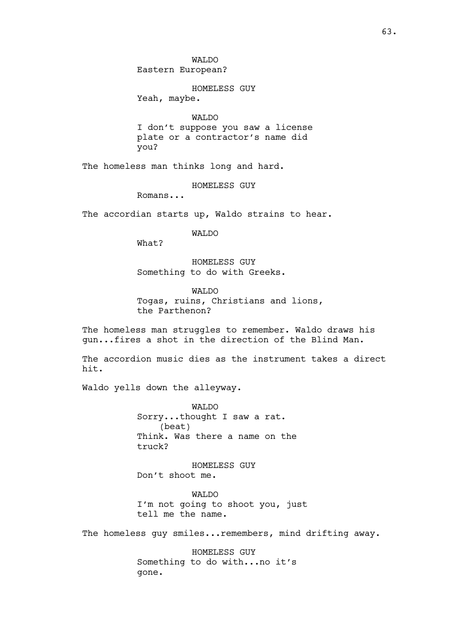WALDO Eastern European?

HOMELESS GUY Yeah, maybe.

WALDO

I don't suppose you saw a license plate or a contractor's name did you?

The homeless man thinks long and hard.

HOMELESS GUY

Romans...

The accordian starts up, Waldo strains to hear.

WALDO

What?

HOMELESS GUY Something to do with Greeks.

WALDO

Togas, ruins, Christians and lions, the Parthenon?

The homeless man struggles to remember. Waldo draws his gun...fires a shot in the direction of the Blind Man.

The accordion music dies as the instrument takes a direct hit.

Waldo yells down the alleyway.

WALDO Sorry...thought I saw a rat. (beat) Think. Was there a name on the truck?

HOMELESS GUY Don't shoot me.

WALDO I'm not going to shoot you, just tell me the name.

The homeless quy smiles...remembers, mind drifting away.

HOMELESS GUY Something to do with...no it's gone.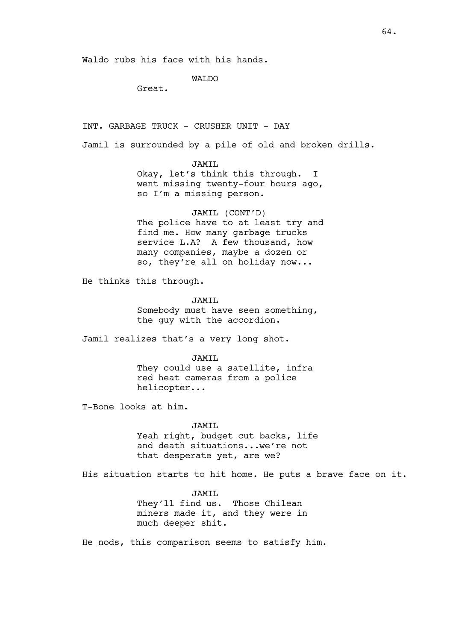# WALDO

Great.

INT. GARBAGE TRUCK - CRUSHER UNIT - DAY

Jamil is surrounded by a pile of old and broken drills.

JAMIL Okay, let's think this through. I went missing twenty-four hours ago, so I'm a missing person.

JAMIL (CONT'D) The police have to at least try and find me. How many garbage trucks service L.A? A few thousand, how many companies, maybe a dozen or so, they're all on holiday now...

He thinks this through.

JAMIL Somebody must have seen something, the guy with the accordion.

Jamil realizes that's a very long shot.

JAMIL They could use a satellite, infra red heat cameras from a police helicopter...

T-Bone looks at him.

JAMIL

Yeah right, budget cut backs, life and death situations...we're not that desperate yet, are we?

His situation starts to hit home. He puts a brave face on it.

JAMIL

They'll find us. Those Chilean miners made it, and they were in much deeper shit.

He nods, this comparison seems to satisfy him.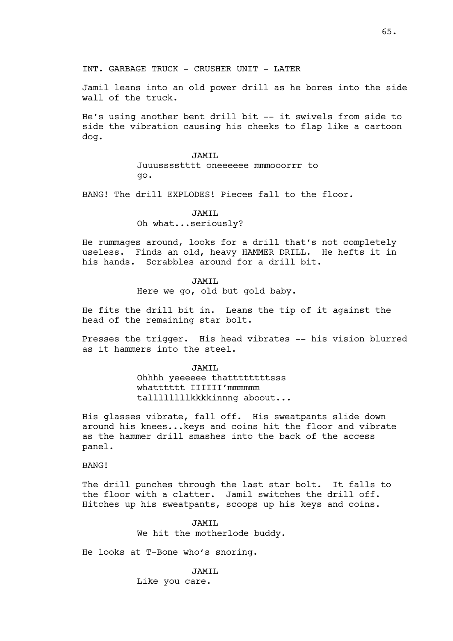INT. GARBAGE TRUCK - CRUSHER UNIT - LATER

Jamil leans into an old power drill as he bores into the side wall of the truck.

He's using another bent drill bit -- it swivels from side to side the vibration causing his cheeks to flap like a cartoon dog.

# JAMIL Juuusssstttt oneeeeee mmmooorrr to go.

BANG! The drill EXPLODES! Pieces fall to the floor.

JAMIL Oh what...seriously?

He rummages around, looks for a drill that's not completely useless. Finds an old, heavy HAMMER DRILL. He hefts it in his hands. Scrabbles around for a drill bit.

# TAMTT.

Here we go, old but gold baby.

He fits the drill bit in. Leans the tip of it against the head of the remaining star bolt.

Presses the trigger. His head vibrates -- his vision blurred as it hammers into the steel.

> JAMIL Ohhhh yeeeeee thattttttttsss whatttttt IIIIII'mmmmmm tallllllllkkkkinnng aboout...

His glasses vibrate, fall off. His sweatpants slide down around his knees...keys and coins hit the floor and vibrate as the hammer drill smashes into the back of the access panel.

### BANG!

The drill punches through the last star bolt. It falls to the floor with a clatter. Jamil switches the drill off. Hitches up his sweatpants, scoops up his keys and coins.

> JAMIL We hit the motherlode buddy.

He looks at T-Bone who's snoring.

JAMIL Like you care.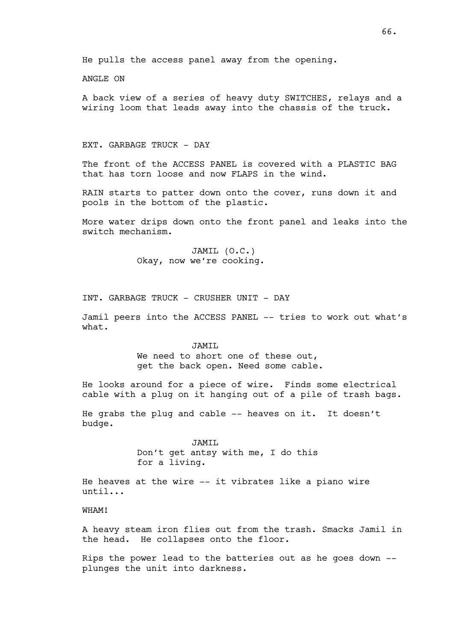# ANGLE ON

A back view of a series of heavy duty SWITCHES, relays and a wiring loom that leads away into the chassis of the truck.

### EXT. GARBAGE TRUCK - DAY

The front of the ACCESS PANEL is covered with a PLASTIC BAG that has torn loose and now FLAPS in the wind.

RAIN starts to patter down onto the cover, runs down it and pools in the bottom of the plastic.

More water drips down onto the front panel and leaks into the switch mechanism.

> JAMIL (O.C.) Okay, now we're cooking.

INT. GARBAGE TRUCK - CRUSHER UNIT - DAY

Jamil peers into the ACCESS PANEL -- tries to work out what's what.

> JAMIL We need to short one of these out, get the back open. Need some cable.

He looks around for a piece of wire. Finds some electrical cable with a plug on it hanging out of a pile of trash bags.

He grabs the plug and cable -- heaves on it. It doesn't budge.

> JAMIL Don't get antsy with me, I do this for a living.

He heaves at the wire -- it vibrates like a piano wire until...

WHAM!

A heavy steam iron flies out from the trash. Smacks Jamil in the head. He collapses onto the floor.

Rips the power lead to the batteries out as he goes down - plunges the unit into darkness.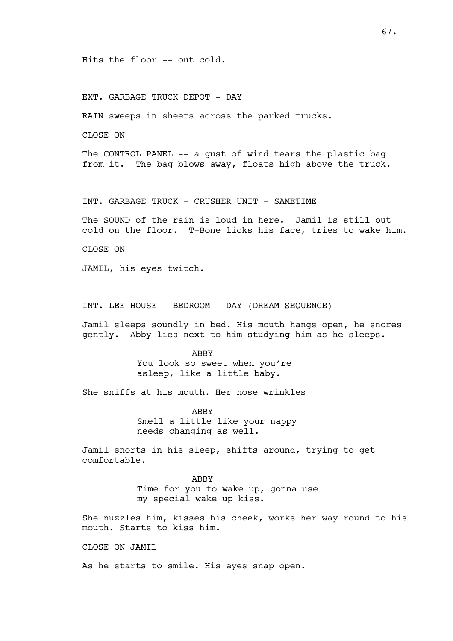### Hits the floor -- out cold.

# EXT. GARBAGE TRUCK DEPOT - DAY

RAIN sweeps in sheets across the parked trucks.

CLOSE ON

The CONTROL PANEL -- a gust of wind tears the plastic bag from it. The bag blows away, floats high above the truck.

INT. GARBAGE TRUCK - CRUSHER UNIT - SAMETIME

The SOUND of the rain is loud in here. Jamil is still out cold on the floor. T-Bone licks his face, tries to wake him.

CLOSE ON

JAMIL, his eyes twitch.

INT. LEE HOUSE - BEDROOM - DAY (DREAM SEQUENCE)

Jamil sleeps soundly in bed. His mouth hangs open, he snores gently. Abby lies next to him studying him as he sleeps.

> ABBY You look so sweet when you're asleep, like a little baby.

She sniffs at his mouth. Her nose wrinkles

ABBY Smell a little like your nappy needs changing as well.

Jamil snorts in his sleep, shifts around, trying to get comfortable.

> ABBY Time for you to wake up, gonna use my special wake up kiss.

She nuzzles him, kisses his cheek, works her way round to his mouth. Starts to kiss him.

CLOSE ON JAMIL

As he starts to smile. His eyes snap open.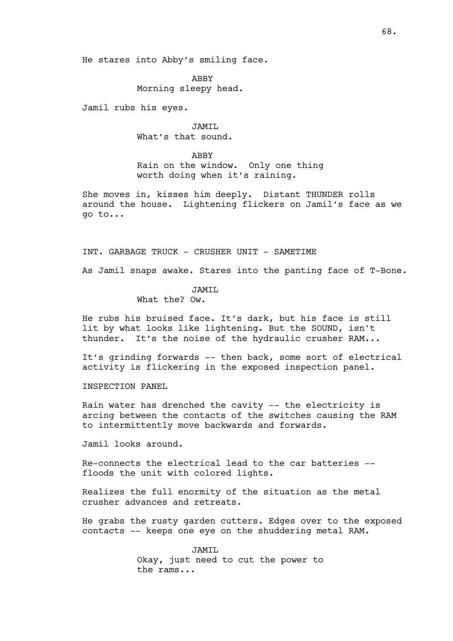He stares into Abby's smiling face.

ABBY Morning sleepy head.

Jamil rubs his eyes.

JAMIL What's that sound.

ABBY Rain on the window. Only one thing worth doing when it's raining.

She moves in, kisses him deeply. Distant THUNDER rolls around the house. Lightening flickers on Jamil's face as we go to...

INT. GARBAGE TRUCK - CRUSHER UNIT - SAMETIME

As Jamil snaps awake. Stares into the panting face of T-Bone.

JAMIL

What the? Ow.

He rubs his bruised face. It's dark, but his face is still lit by what looks like lightening. But the SOUND, isn't thunder. It's the noise of the hydraulic crusher RAM...

It's grinding forwards -- then back, some sort of electrical activity is flickering in the exposed inspection panel.

INSPECTION PANEL

Rain water has drenched the cavity -- the electricity is arcing between the contacts of the switches causing the RAM to intermittently move backwards and forwards.

Jamil looks around.

Re-connects the electrical lead to the car batteries - floods the unit with colored lights.

Realizes the full enormity of the situation as the metal crusher advances and retreats.

He grabs the rusty garden cutters. Edges over to the exposed contacts -- keeps one eye on the shuddering metal RAM.

> JAMTT. Okay, just need to cut the power to the rams...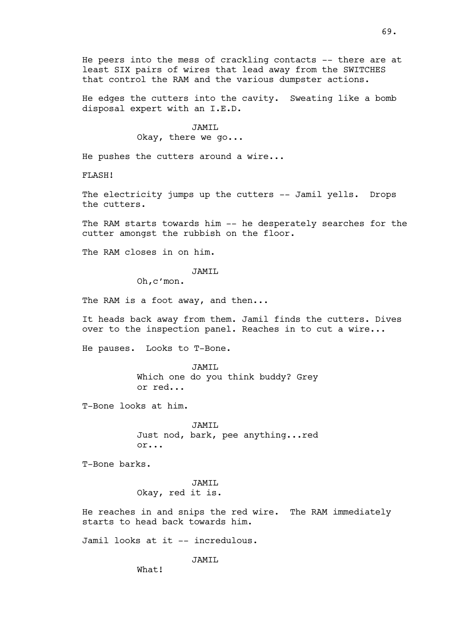He peers into the mess of crackling contacts -- there are at least SIX pairs of wires that lead away from the SWITCHES that control the RAM and the various dumpster actions.

He edges the cutters into the cavity. Sweating like a bomb disposal expert with an I.E.D.

### JAMIL

Okay, there we go...

He pushes the cutters around a wire...

FLASH!

The electricity jumps up the cutters -- Jamil yells. Drops the cutters.

The RAM starts towards him -- he desperately searches for the cutter amongst the rubbish on the floor.

The RAM closes in on him.

JAMIL

Oh,c'mon.

The RAM is a foot away, and then...

It heads back away from them. Jamil finds the cutters. Dives over to the inspection panel. Reaches in to cut a wire...

He pauses. Looks to T-Bone.

JAMIL Which one do you think buddy? Grey or red...

T-Bone looks at him.

JAMIL Just nod, bark, pee anything...red or...

T-Bone barks.

JAMIL Okay, red it is.

He reaches in and snips the red wire. The RAM immediately starts to head back towards him.

Jamil looks at it -- incredulous.

JAMIL

What!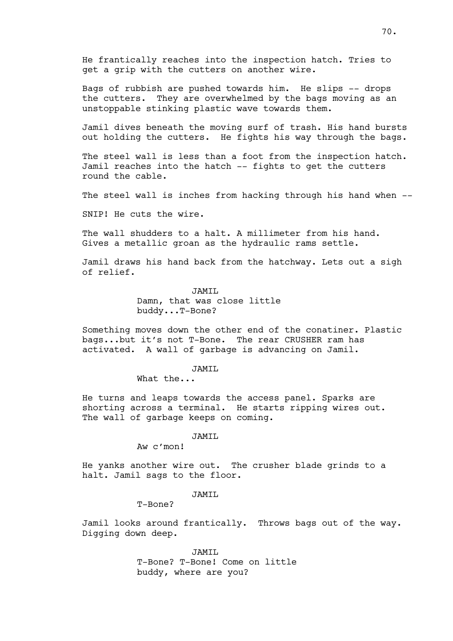He frantically reaches into the inspection hatch. Tries to get a grip with the cutters on another wire.

Bags of rubbish are pushed towards him. He slips -- drops the cutters. They are overwhelmed by the bags moving as an unstoppable stinking plastic wave towards them.

Jamil dives beneath the moving surf of trash. His hand bursts out holding the cutters. He fights his way through the bags.

The steel wall is less than a foot from the inspection hatch. Jamil reaches into the hatch -- fights to get the cutters round the cable.

The steel wall is inches from hacking through his hand when --

SNIP! He cuts the wire.

The wall shudders to a halt. A millimeter from his hand. Gives a metallic groan as the hydraulic rams settle.

Jamil draws his hand back from the hatchway. Lets out a sigh of relief.

> JAMTT. Damn, that was close little buddy...T-Bone?

Something moves down the other end of the conatiner. Plastic bags...but it's not T-Bone. The rear CRUSHER ram has activated. A wall of garbage is advancing on Jamil.

JAMIL

What the...

He turns and leaps towards the access panel. Sparks are shorting across a terminal. He starts ripping wires out. The wall of garbage keeps on coming.

JAMIL

Aw c'mon!

He yanks another wire out. The crusher blade grinds to a halt. Jamil sags to the floor.

JAMIL

T-Bone?

Jamil looks around frantically. Throws bags out of the way. Digging down deep.

> JAMIL T-Bone? T-Bone! Come on little buddy, where are you?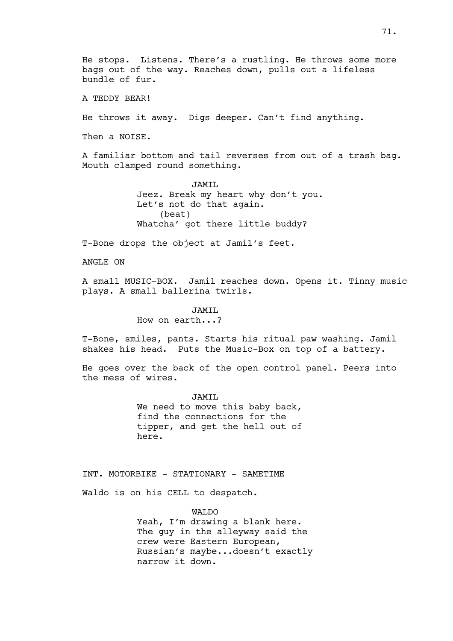He stops. Listens. There's a rustling. He throws some more bags out of the way. Reaches down, pulls out a lifeless bundle of fur.

A TEDDY BEAR!

He throws it away. Digs deeper. Can't find anything.

Then a NOISE.

A familiar bottom and tail reverses from out of a trash bag. Mouth clamped round something.

> JAMIL Jeez. Break my heart why don't you. Let's not do that again. (beat) Whatcha' got there little buddy?

T-Bone drops the object at Jamil's feet.

ANGLE ON

A small MUSIC-BOX. Jamil reaches down. Opens it. Tinny music plays. A small ballerina twirls.

# JAMIL

How on earth...?

T-Bone, smiles, pants. Starts his ritual paw washing. Jamil shakes his head. Puts the Music-Box on top of a battery.

He goes over the back of the open control panel. Peers into the mess of wires.

JAMIL

We need to move this baby back, find the connections for the tipper, and get the hell out of here.

INT. MOTORBIKE - STATIONARY - SAMETIME

Waldo is on his CELL to despatch.

WALDO Yeah, I'm drawing a blank here. The guy in the alleyway said the crew were Eastern European, Russian's maybe...doesn't exactly narrow it down.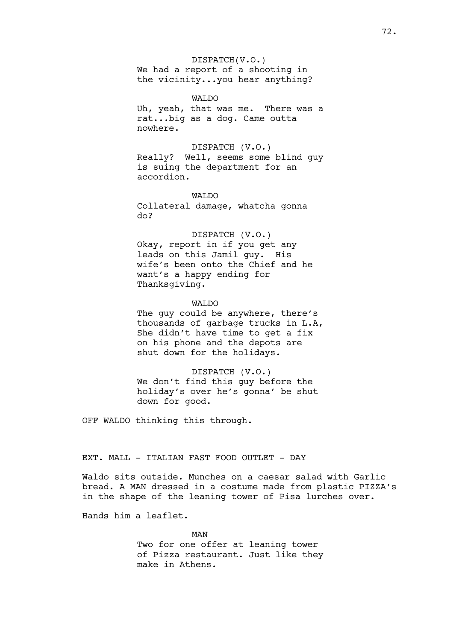#### DISPATCH(V.O.)

We had a report of a shooting in the vicinity...you hear anything?

WAT<sub>DO</sub> Uh, yeah, that was me. There was a rat...big as a dog. Came outta nowhere.

# DISPATCH (V.O.) Really? Well, seems some blind guy is suing the department for an accordion.

WALDO

Collateral damage, whatcha gonna do?

DISPATCH (V.O.) Okay, report in if you get any leads on this Jamil guy. His wife's been onto the Chief and he want's a happy ending for Thanksgiving.

### WALDO

The guy could be anywhere, there's thousands of garbage trucks in L.A, She didn't have time to get a fix on his phone and the depots are shut down for the holidays.

DISPATCH (V.O.) We don't find this guy before the holiday's over he's gonna' be shut down for good.

OFF WALDO thinking this through.

# EXT. MALL - ITALIAN FAST FOOD OUTLET - DAY

Waldo sits outside. Munches on a caesar salad with Garlic bread. A MAN dressed in a costume made from plastic PIZZA's in the shape of the leaning tower of Pisa lurches over.

Hands him a leaflet.

MAN Two for one offer at leaning tower of Pizza restaurant. Just like they make in Athens.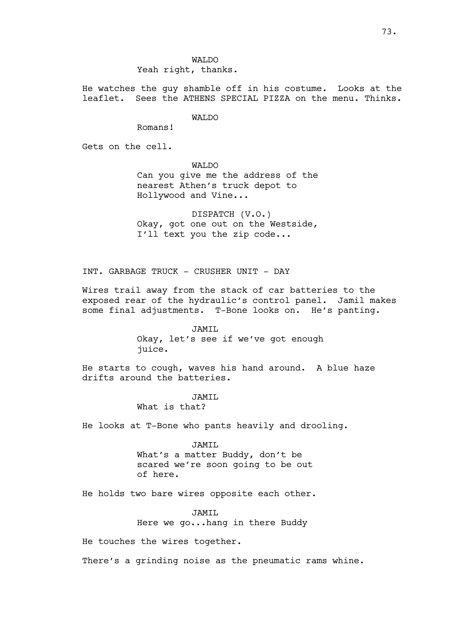WALDO Yeah right, thanks.

He watches the guy shamble off in his costume. Looks at the leaflet. Sees the ATHENS SPECIAL PIZZA on the menu. Thinks.

WALDO

Romans!

Gets on the cell.

WALDO

Can you give me the address of the nearest Athen's truck depot to Hollywood and Vine...

DISPATCH (V.O.) Okay, got one out on the Westside, I'll text you the zip code...

INT. GARBAGE TRUCK - CRUSHER UNIT - DAY

Wires trail away from the stack of car batteries to the exposed rear of the hydraulic's control panel. Jamil makes some final adjustments. T-Bone looks on. He's panting.

JAMIL

Okay, let's see if we've got enough juice.

He starts to cough, waves his hand around. A blue haze drifts around the batteries.

JAMIL

What is that?

He looks at T-Bone who pants heavily and drooling.

JAMIL What's a matter Buddy, don't be scared we're soon going to be out of here.

He holds two bare wires opposite each other.

JAMIL Here we go...hang in there Buddy

He touches the wires together.

There's a grinding noise as the pneumatic rams whine.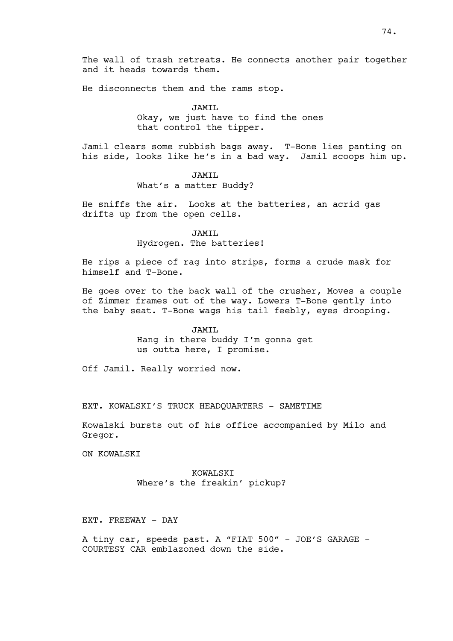The wall of trash retreats. He connects another pair together and it heads towards them.

He disconnects them and the rams stop.

JAMTT. Okay, we just have to find the ones that control the tipper.

Jamil clears some rubbish bags away. T-Bone lies panting on his side, looks like he's in a bad way. Jamil scoops him up.

> JAMIL What's a matter Buddy?

He sniffs the air. Looks at the batteries, an acrid gas drifts up from the open cells.

JAMIL

Hydrogen. The batteries!

He rips a piece of rag into strips, forms a crude mask for himself and T-Bone.

He goes over to the back wall of the crusher, Moves a couple of Zimmer frames out of the way. Lowers T-Bone gently into the baby seat. T-Bone wags his tail feebly, eyes drooping.

#### JAMIL

Hang in there buddy I'm gonna get us outta here, I promise.

Off Jamil. Really worried now.

EXT. KOWALSKI'S TRUCK HEADQUARTERS - SAMETIME

Kowalski bursts out of his office accompanied by Milo and Gregor.

ON KOWALSKI

KOWALSKI Where's the freakin' pickup?

EXT. FREEWAY - DAY

A tiny car, speeds past. A "FIAT 500" - JOE'S GARAGE - COURTESY CAR emblazoned down the side.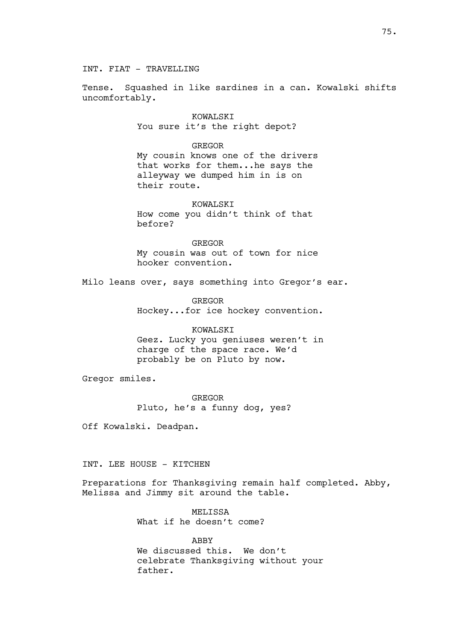INT. FIAT - TRAVELLING

Tense. Squashed in like sardines in a can. Kowalski shifts uncomfortably.

> KOWALSKI You sure it's the right depot?

> > GREGOR

My cousin knows one of the drivers that works for them...he says the alleyway we dumped him in is on their route.

KOWALSKI How come you didn't think of that before?

GREGOR My cousin was out of town for nice hooker convention.

Milo leans over, says something into Gregor's ear.

GREGOR Hockey...for ice hockey convention.

KOWALSKI

Geez. Lucky you geniuses weren't in charge of the space race. We'd probably be on Pluto by now.

Gregor smiles.

GREGOR Pluto, he's a funny dog, yes?

Off Kowalski. Deadpan.

INT. LEE HOUSE - KITCHEN

Preparations for Thanksgiving remain half completed. Abby, Melissa and Jimmy sit around the table.

> MELISSA What if he doesn't come?

ABBY We discussed this. We don't celebrate Thanksgiving without your father.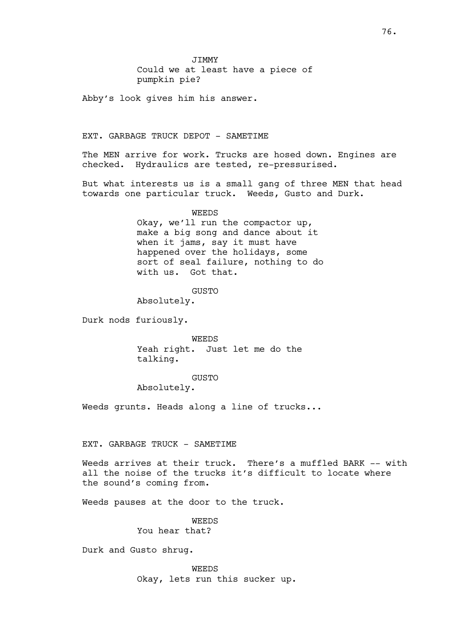JIMMY Could we at least have a piece of pumpkin pie?

Abby's look gives him his answer.

## EXT. GARBAGE TRUCK DEPOT - SAMETIME

The MEN arrive for work. Trucks are hosed down. Engines are checked. Hydraulics are tested, re-pressurised.

But what interests us is a small gang of three MEN that head towards one particular truck. Weeds, Gusto and Durk.

### WEEDS

Okay, we'll run the compactor up, make a big song and dance about it when it jams, say it must have happened over the holidays, some sort of seal failure, nothing to do with us. Got that.

GUSTO

Absolutely.

Durk nods furiously.

WEEDS Yeah right. Just let me do the talking.

#### GUSTO

Absolutely.

Weeds grunts. Heads along a line of trucks...

### EXT. GARBAGE TRUCK - SAMETIME

Weeds arrives at their truck. There's a muffled BARK -- with all the noise of the trucks it's difficult to locate where the sound's coming from.

Weeds pauses at the door to the truck.

WEEDS You hear that?

Durk and Gusto shrug.

WEEDS Okay, lets run this sucker up.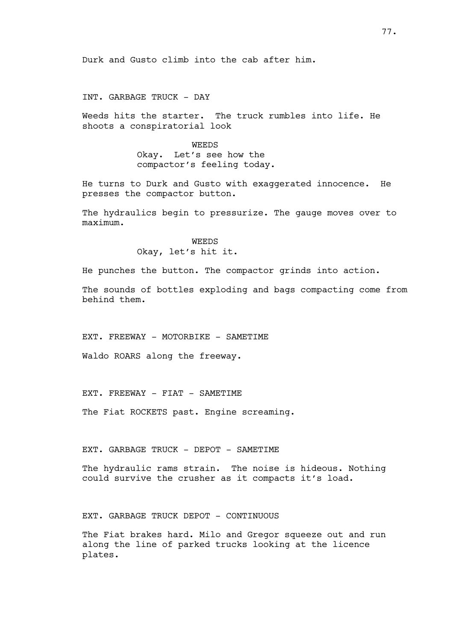Durk and Gusto climb into the cab after him.

# INT. GARBAGE TRUCK - DAY

Weeds hits the starter. The truck rumbles into life. He shoots a conspiratorial look

> WEEDS Okay. Let's see how the compactor's feeling today.

He turns to Durk and Gusto with exaggerated innocence. He presses the compactor button.

The hydraulics begin to pressurize. The gauge moves over to maximum.

> WEEDS Okay, let's hit it.

He punches the button. The compactor grinds into action.

The sounds of bottles exploding and bags compacting come from behind them.

EXT. FREEWAY - MOTORBIKE - SAMETIME

Waldo ROARS along the freeway.

EXT. FREEWAY - FIAT - SAMETIME

The Fiat ROCKETS past. Engine screaming.

## EXT. GARBAGE TRUCK - DEPOT - SAMETIME

The hydraulic rams strain. The noise is hideous. Nothing could survive the crusher as it compacts it's load.

EXT. GARBAGE TRUCK DEPOT - CONTINUOUS

The Fiat brakes hard. Milo and Gregor squeeze out and run along the line of parked trucks looking at the licence plates.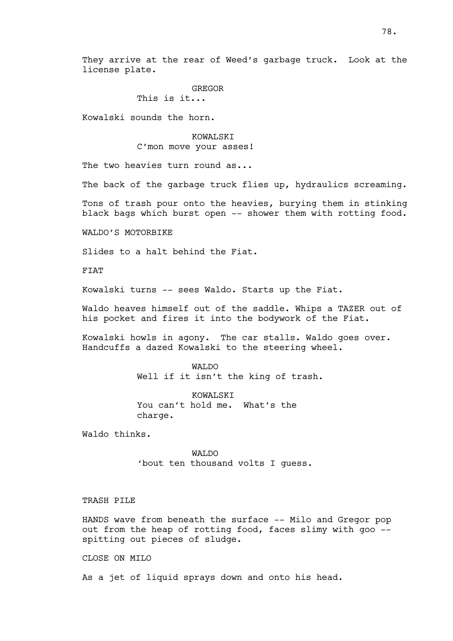They arrive at the rear of Weed's garbage truck. Look at the license plate.

## GREGOR

This is it...

Kowalski sounds the horn.

KOWALSKI C'mon move your asses!

The two heavies turn round as...

The back of the garbage truck flies up, hydraulics screaming.

Tons of trash pour onto the heavies, burying them in stinking black bags which burst open -- shower them with rotting food.

WALDO'S MOTORBIKE

Slides to a halt behind the Fiat.

FIAT

Kowalski turns -- sees Waldo. Starts up the Fiat.

Waldo heaves himself out of the saddle. Whips a TAZER out of his pocket and fires it into the bodywork of the Fiat.

Kowalski howls in agony. The car stalls. Waldo goes over. Handcuffs a dazed Kowalski to the steering wheel.

> WALDO Well if it isn't the king of trash.

KOWALSKI You can't hold me. What's the charge.

Waldo thinks.

WALDO 'bout ten thousand volts I guess.

TRASH PILE

HANDS wave from beneath the surface -- Milo and Gregor pop out from the heap of rotting food, faces slimy with goo - spitting out pieces of sludge.

CLOSE ON MILO

As a jet of liquid sprays down and onto his head.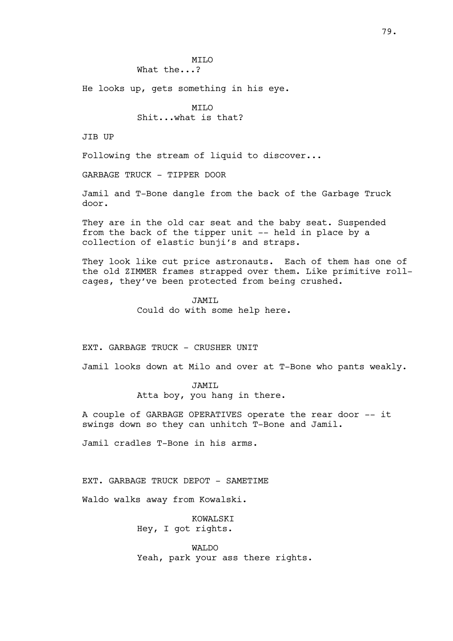MILO What the...?

He looks up, gets something in his eye.

MTT.O Shit...what is that?

JIB UP

Following the stream of liquid to discover...

GARBAGE TRUCK - TIPPER DOOR

Jamil and T-Bone dangle from the back of the Garbage Truck door.

They are in the old car seat and the baby seat. Suspended from the back of the tipper unit -- held in place by a collection of elastic bunji's and straps.

They look like cut price astronauts. Each of them has one of the old ZIMMER frames strapped over them. Like primitive rollcages, they've been protected from being crushed.

JAMIL

Could do with some help here.

## EXT. GARBAGE TRUCK - CRUSHER UNIT

Jamil looks down at Milo and over at T-Bone who pants weakly.

#### JAMIL

Atta boy, you hang in there.

A couple of GARBAGE OPERATIVES operate the rear door -- it swings down so they can unhitch T-Bone and Jamil.

Jamil cradles T-Bone in his arms.

EXT. GARBAGE TRUCK DEPOT - SAMETIME

Waldo walks away from Kowalski.

KOWALSKI Hey, I got rights.

WALDO Yeah, park your ass there rights.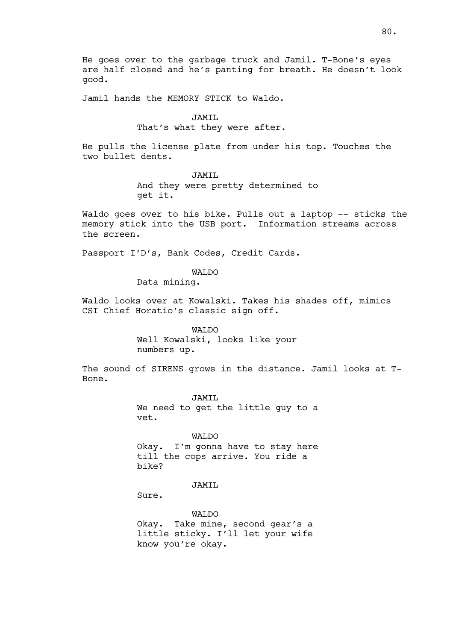He goes over to the garbage truck and Jamil. T-Bone's eyes are half closed and he's panting for breath. He doesn't look good.

Jamil hands the MEMORY STICK to Waldo.

#### JAMIL

# That's what they were after.

He pulls the license plate from under his top. Touches the two bullet dents.

> JAMIL And they were pretty determined to get it.

Waldo goes over to his bike. Pulls out a laptop -- sticks the memory stick into the USB port. Information streams across the screen.

Passport I'D's, Bank Codes, Credit Cards.

## WAT<sub>DO</sub>

Data mining.

Waldo looks over at Kowalski. Takes his shades off, mimics CSI Chief Horatio's classic sign off.

> WALDO Well Kowalski, looks like your numbers up.

The sound of SIRENS grows in the distance. Jamil looks at T-Bone.

> JAMIL We need to get the little guy to a vet.

WALDO Okay. I'm gonna have to stay here till the cops arrive. You ride a bike?

JAMIL

Sure.

WALDO Okay. Take mine, second gear's a little sticky. I'll let your wife know you're okay.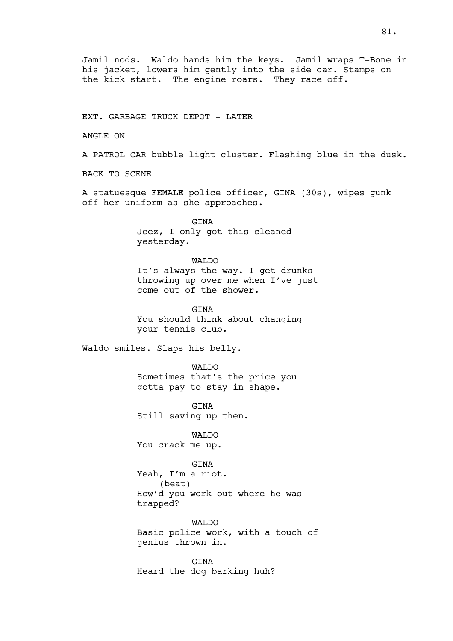Jamil nods. Waldo hands him the keys. Jamil wraps T-Bone in his jacket, lowers him gently into the side car. Stamps on the kick start. The engine roars. They race off.

EXT. GARBAGE TRUCK DEPOT - LATER

ANGLE ON

A PATROL CAR bubble light cluster. Flashing blue in the dusk.

BACK TO SCENE

A statuesque FEMALE police officer, GINA (30s), wipes gunk off her uniform as she approaches.

> **GTNA** Jeez, I only got this cleaned yesterday.

#### WALDO

It's always the way. I get drunks throwing up over me when I've just come out of the shower.

GINA You should think about changing your tennis club.

Waldo smiles. Slaps his belly.

WALDO Sometimes that's the price you gotta pay to stay in shape.

GINA Still saving up then.

WALDO You crack me up.

**GTNA** 

Yeah, I'm a riot. (beat) How'd you work out where he was trapped?

WAT<sub>I</sub>DO Basic police work, with a touch of genius thrown in.

GINA Heard the dog barking huh?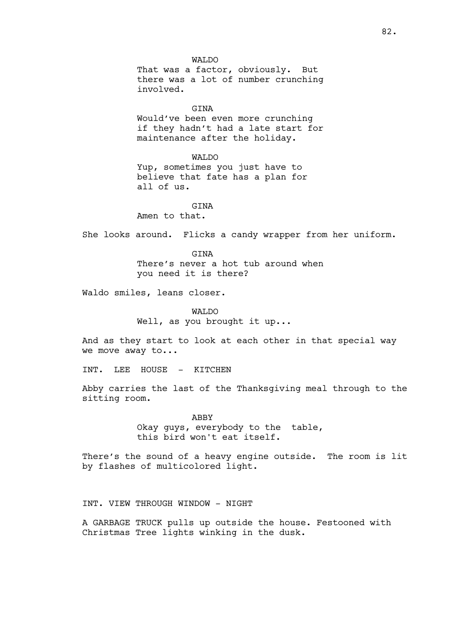WALDO That was a factor, obviously. But there was a lot of number crunching involved.

GINA

Would've been even more crunching if they hadn't had a late start for maintenance after the holiday.

WAT.DO

Yup, sometimes you just have to believe that fate has a plan for all of us.

# GTNA

Amen to that.

She looks around. Flicks a candy wrapper from her uniform.

GTNA

There's never a hot tub around when you need it is there?

Waldo smiles, leans closer.

WALDO Well, as you brought it up...

And as they start to look at each other in that special way we move away to...

INT. LEE HOUSE - KITCHEN

Abby carries the last of the Thanksgiving meal through to the sitting room.

> ABBY Okay guys, everybody to the table, this bird won't eat itself.

There's the sound of a heavy engine outside. The room is lit by flashes of multicolored light.

INT. VIEW THROUGH WINDOW - NIGHT

A GARBAGE TRUCK pulls up outside the house. Festooned with Christmas Tree lights winking in the dusk.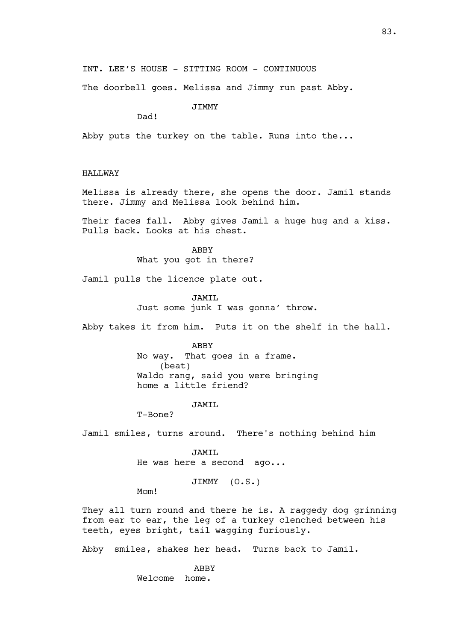INT. LEE'S HOUSE - SITTING ROOM - CONTINUOUS

The doorbell goes. Melissa and Jimmy run past Abby.

**JTMMY** 

Dad!

Abby puts the turkey on the table. Runs into the...

HALLWAY

Melissa is already there, she opens the door. Jamil stands there. Jimmy and Melissa look behind him.

Their faces fall. Abby gives Jamil a huge hug and a kiss. Pulls back. Looks at his chest.

> ABBY What you got in there?

Jamil pulls the licence plate out.

JAMIL Just some junk I was gonna' throw.

Abby takes it from him. Puts it on the shelf in the hall.

ABBY No way. That goes in a frame. (beat) Waldo rang, said you were bringing home a little friend?

JAMIL

T-Bone?

Jamil smiles, turns around. There's nothing behind him

JAMIL He was here a second ago...

JIMMY (O.S.)

Mom!

They all turn round and there he is. A raggedy dog grinning from ear to ear, the leg of a turkey clenched between his teeth, eyes bright, tail wagging furiously.

Abby smiles, shakes her head. Turns back to Jamil.

 ABBY Welcome home.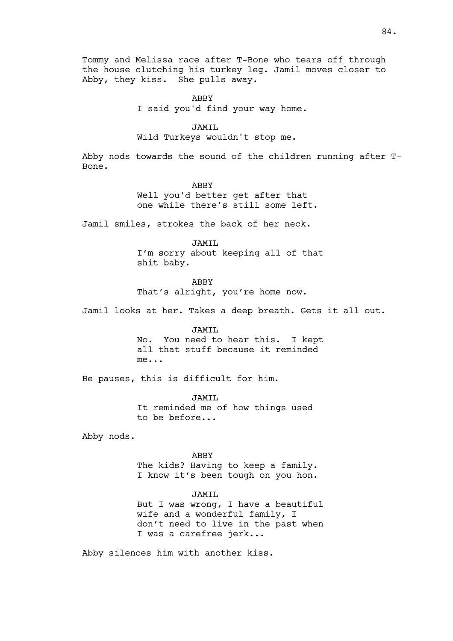Tommy and Melissa race after T-Bone who tears off through the house clutching his turkey leg. Jamil moves closer to Abby, they kiss. She pulls away.

> ABBY I said you'd find your way home.

> > JAMIL

Wild Turkeys wouldn't stop me.

Abby nods towards the sound of the children running after T-Bone.

ABBY

Well you'd better get after that one while there's still some left.

Jamil smiles, strokes the back of her neck.

JAMIL I'm sorry about keeping all of that shit baby.

ABBY That's alright, you're home now.

Jamil looks at her. Takes a deep breath. Gets it all out.

JAMIL No. You need to hear this. I kept all that stuff because it reminded

me...

He pauses, this is difficult for him.

JAMIL It reminded me of how things used to be before...

Abby nods.

ABBY The kids? Having to keep a family. I know it's been tough on you hon.

JAMIL But I was wrong, I have a beautiful wife and a wonderful family, I don't need to live in the past when I was a carefree jerk...

Abby silences him with another kiss.